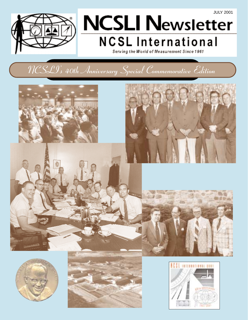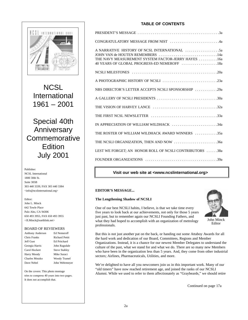

**NCSL** International 1961 – 2001

## Special 40th Anniversary Commemorative **Edition** July 2001

#### Publisher: NCSL International

1800 30th St. Suite 305B 303 440 3339, FAX 303 440 3384 <info@ncslinternational.org>

#### Editor:

John L. Minck 642 Towle Place Palo Alto, CA 94306 650 493 3955, FAX 650 493 3955  $\angle$ IL Minck@earthlink.net>

### BOARD OF REVIEWERS

| Anthony Anderson | Ed Nemeroff           |
|------------------|-----------------------|
| Chris Franks     | <b>Richard Pettit</b> |
| leff Gust        | Ed Pritchard          |
| Georgia Harris   | John Ragsdale         |
| Carol Hockert    | <b>Steve Stahley</b>  |
| Harry Moody      | Mike Suraci           |
| Charles Motzko   | Woody Tramel          |
| Dave Nebel       | John Wehrmeyer        |
|                  |                       |

On the covers: This photo montage tries to compress 40 years into two pages. It does not accomplish that.

## **TABLE OF CONTENTS**

| CONGRATULATORY MESSAGE FROM NIST 4a                                                               |
|---------------------------------------------------------------------------------------------------|
| THE NAVY MEASUREMENT SYSTEM FACTOR-JERRY HAYES 16a<br>40 YEARS OF GLOBAL PROGRESS-ED NEMEROFF 18a |
|                                                                                                   |
| A PHOTOGRAPHIC HISTORY OF NCSLI 23a                                                               |
| NBS DIRECTOR'S LETTER ACCEPTS NCSLI SPONSORSHIP 29a                                               |
|                                                                                                   |
|                                                                                                   |
|                                                                                                   |
| IN APPRECIATION OF WILLIAM WILDHACK 34a                                                           |
| THE ROSTER OF WILLIAM WILDHACK AWARD WINNERS 35a                                                  |
| THE NCSLI ORGANIZATION, THEN AND NOW 36a                                                          |
| LEST WE FORGET; AN HONOR ROLL OF NCSLI CONTRIBUTORS 38a                                           |
|                                                                                                   |

## **Visit our web site at <www.ncslinternational.org>**

## **EDITOR'S MESSAGE...**

## **The Lengthening Shadow of NCSLI**



One of our best NCSLI habits, I believe, is that we take time every five years to look back at our achievements, not only for those 5 years just past, but to remember again our NCSLI Founding Fathers, and what they had hoped to accomplish with an organization of metrology professionals.

But this is not just another pat on the back, or handing out some Attaboy Awards for all the hard work and dedication of our Board, Committees, Regions and Member Organizations. Instead, it is a chance for our newest Member Delegates to understand the culture of the past, what we stand for and what we do. There are so many new Members who have been in the organization less than 5 years. And, they come from other industrial sectors; Airlines, Pharmaceuticals, Utilities, and more.

We're delighted to have all you newcomers join us in this important work. Many of our "old timers" have now reached retirement age, and joined the ranks of our NCSLI Alumni. While we used to refer to them affectionately as "Graybeards," we should retire

Continued on page 17a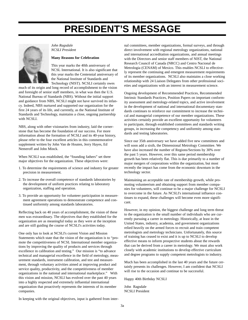## **PRESIDENT'S MESSAGE**



*John Ragsdale NCSLI President*

### **Many Reasons for Celebration**

This year marks the 40th anniversary of NCSL International. It is also significant that this year marks the Centennial anniversary of the National Institute of Standards and Technology (NIST). NCSLI certainly owes

much of its origin and long record of accomplishment to the vision and foresight of senior staff members, in what was then the U.S. National Bureau of Standards (NBS). Without the initial support and guidance from NBS, NCSLI might not have survived its infancy. Indeed, NBS nurtured and supported our organization for the first 24 years of its life, and currently, as the National Institute of Standards and Technology, maintains a close, ongoing partnership with NCSLI.

NBS, along with other visionaries from industry, laid the cornerstone that has become the foundation of our success. For more information about the formation of NCSLI and its 40-year history, please refer to the four excellent articles in this commemorative supplement written by John Van de Houten, Jerry Hayes, Ed Nemeroff and John Minck.

When NCSLI was established, the "founding fathers" set three major objectives for the organization. These objectives were:

- 1. To determine the requirements of science and industry for greater precision in measurement.
- 2. To increase the overall competence of standards laboratories by the development of uniform practices relating to laboratory organization, staffing and operation.
- 3. To provide an opportunity for volunteer participation in measurement agreement operations to demonstrate competence and continued uniformity among standards laboratories.

Reflecting back on 40 years of accomplishment, the vision of these men was extraordinary. The objectives that they established for the organization are as meaningful today as they were at the inception and are still guiding the course of NCSLI's activities today.

One only has to look at NCSLI's current Vision and Mission Statements which state that the vision of the organization is to "promote the competitiveness of NCSL International member organizations by improving the quality of products and services through excellence in calibration and testing." Our mission is "to advance technical and managerial excellence in the field of metrology, measurement standards, instrument calibration, and test and measurement, through voluntary activities aimed at improving product and service quality, productivity, and the competitiveness of member organizations in the national and international marketplace." With this vision and mission, NCSLI has evolved over the past 40 years into a highly respected and extremely influential international organization that proactively represents the interests of its member companies.

nal committees, member organizations, formal surveys, and through direct involvement with regional metrology organizations, national and international accreditation organizations, and annual meetings with the Directors and senior staff members of NIST, the National Research Council of Canada (NRCC) and Centro Nacional de Metrologia (CENAM) of Mexico. This enables NCSLI to effectively represent the continuing and emergent measurement requirements of its member organizations. NCSLI also maintains a close working relationship with 24 Liaison Delegates from other professional societies and organizations with an interest in measurement science.

Ongoing development of Recommended Practices, Recommended Intrinsic Standards Practices, Position Papers on important conformity assessment and metrology-related topics, and active involvement in the development of national and international documentary standards continues to reinforce our commitment to increase the technical and managerial competence of our member organizations. These activities certainly provide an excellent opportunity for volunteers to participate, through established committees and standards writing groups, in increasing the competency and uniformity among standards and testing laboratories.

Since our 35th anniversary we have added five new committees and will soon add a sixth, the Dimensional Metrology Committee. We have also increased the number of Regions/Sections by 30% over the past 5 years. However, over this same period membership growth has been relatively flat. This is due primarily to a number of major mergers of corporations within the organization, but most recently the impact has come from the economic downturn in the technology sector.

Maintaining an acceptable rate of membership growth, while promoting volunteerism and obtaining support from member companies for volunteers, will continue to be a major challenge for NCSLI to overcome in the future. As NCSLI's international influence continues to expand, these challenges will become even more significant.

However, in my opinion, the biggest challenge and long term threat to the organization is the small number of individuals who are currently pursuing a career in metrology. Historically, at least in the United States, industry, academia, and government organizations relied heavily on the armed forces to recruit and train competent metrologists and metrology technicians. Unfortunately, this source of training has ceased to exist and it is up to NCSLI to develop effective means to inform prospective students about the rewards that can be derived from a career in metrology. We must also work closely with academic institutions to develop effective curriculum and degree programs to supply competent metrologists to industry.

Much has been accomplished in the last 40 years and the future certainly presents its challenges. However, I am confident that NCSLI will rise to the occasion and continue to be successful.

Happy 40th Birthday NCSLI

John Ragsdale NCSLI President

In keeping with the original objectives, input is gathered from inter-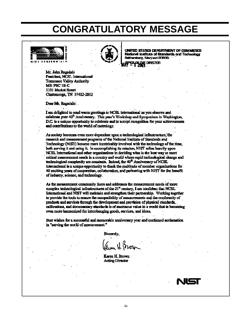## **CONGRATULATORY MESSAGE**





UNITED STATES DEPARTMENT OF COMMERCE stional institute of Standards and Technology raburo, Maryland 20898-

Mr. John Ragadale President; NCSL International **Tennessee Valley Authority MS: PSC 1B-C** 1101 Market Street Chattanooga, TN 37402-2802

Dear Mr. Ramdale:

I am delighted to send warm greetings to NCSL International as you observe and celebrate your 40<sup>th</sup> Anniversary. This year's Workshop and Symposium in Washington, D.C. is a unique opportunity to celebrate and to accept recognition for your achievements and contributions to the world of metrology.

As society becomes even more dependent upon a technological infrastructure, the research and measurement programs of the National Institute of Standards and Technology (NIST) become more inextricably involved with the technology of the time. both serving it and using it. In accomplishing its mission, NIST relies heavily upon NCSL International and other organizations in deciding what is the best way to meet critical measurement needs in a country and world where rapid technological change and technological complexity are constants. Indeed, the 40<sup>th</sup> Anniversary of NCSL International is a unique opportunity to thank the multitude of member organizations for 40 exciting years of cooperation, colleboration, and partnering with NIST for the benefit of industry, science, and technology.

As the measurement community faces and addresses the measurement needs of more complex technological infrastructures of the  $21<sup>st</sup>$  century, I am confident that NCSL International and NIST will maintain and strengthen their partnership. Working together to provide the tools to cosure the compatibility of measurements and the conformity of products and services through the development and provision of physical standards, calibrations, and documentary standards is of enormous value in a world that is becoming even more harmonized for interchanging goods, services, and ideas.

Best wishes for a successful and memorable anniversary year and continued acclamation in "serving the world of measurement."

Sinoerely,

Karen H. Brown. **Acting Director** 

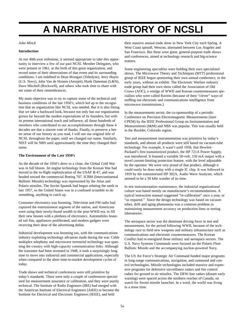## **A NARRATIVE HISTORY OF NCSLI**

## *John Minck*

### **Introduction**

At our 40th-year milestone, it seemed appropriate to take this opportunity to interview a few of our past NCSL Member Delegates, who were present in 1961, at the birth of this great organization, and record some of their observations of that event and its surrounding conditions. I am indebted to Dean Brungart (Teledyne), Jerry Hayes (U.S. Navy), John Van de Houten (Aerojet), Hank Daneman (L&N), Dave Mitchell (Rockwell), and others who took time to share with me some of their remembrances.

My main objective was to try to capture some of the technical and business conditions of the late 1950's, which led up to the recognition that an organization like NCSL was needed. But it is also fitting that we take a backward look, because not only has our organization grown far beyond the modest expectations of its founders, but with its present international reach and influence, all those hundreds of members who contributed to our accomplishments through these 4 decades are due a sincere vote of thanks. Finally, to preserve a better sense of our history as you read, I will use our original title of NCSL throughout the paper, until we changed our name. Similarly, NIST will be NBS until approximately the time they changed their name.

### **The Environment of the Late 1950's**

As the decade of the 1950's drew to a close, the Global Cold War was in full bloom. Jet engine technology from the Korean War had moved to the in-flight sophistication of the USAF B-47, and was headed toward the commercial Boeing 707. ICBM (Intercontinental Ballistic Missile) technology was represented by the Atlas and Polaris missiles. The Soviet Sputnik had begun orbiting the earth in late 1957, so the United States was in a confused scramble to do something, anything to catch up.

Consumer electronics was booming. Television and FM radio had captured the entertainment segment of the nation, and Americans were using their newly-found wealth in the post-WWII era, to fill their new houses with a plethora of electronics. Automobiles boasted tail fins, appliances proliferated, and modern gadgets were receiving their dose of the advertising dollar.

Industrial development was booming too, with the communications industry exploiting technology advances made during the war. Cable multiplex telephony and microwave terrestrial technology was spanning the country with high-capacity communication links. Although the transistor had been invented in 1948, it took a surprisingly long time to move into industrial and commercial applications, especially when compared to the short time-to-market development cycles of today.

Trade shows and technical conferences were still primitive by today's standards. There were only a couple of conferences specialized for measurement assurance or calibration, and they were purely technical. The Institute of Radio Engineers (IRE) had merged with the American Institute of Electrical Engineers (AIEE) to become the Institute for Electrical and Electronic Engineers (IEEE), and held

their massive annual trade show in New York City each Spring. A West Coast spinoff, Wescon, alternated between Los Angeles and San Francisco. But these were giant, general-purpose trade shows and conferences, aimed at technology research and big-science matters.

Some engineering specialties were holding their own specialized shows. The Microwave Theory and Techniques (MTT) professional group of IEEE began sponsoring their own annual conference, in the early years, without an exhibit. The Electronic Warfare industry trade group had their own show called the Association of Old Crows (AOC), a vestige of WWII and Korean countermeasures specialists who were called Ravens (because of their "clever" ways of sniffing out electronic and communications intelligence from microwave transmissions.).

In the measurements sector, the co-sponsorship of a periodic Conference on Precision Electromagnetic Measurements (later CPEM) by the IEEE Professional Group on Instrumentation and Measurements (I&M) and NBS was popular. This was usually held in the Boulder, Colorado region.

Test and measurement instrumentation was primitive by today's standards, and almost all products were still based on vacuum-tube technology. For example, it wasn't until 1958, that Hewlett-Packard's first transistorized product, the HP 721A Power Supply, was introduced. It boasted a variable 50-volt, 150 mA output with a novel current-limiting protection feature, with the level adjustable by the operator. We were very proud of that product, although it could easily be done today with a single IC chip. It was followed in 1959 by the transistorized HP 302A, Audio Wave Analyzer, which seemed to be a 50 kHz wonder of its time.

In test instrumentation maintenance, the industrial organizational culture was based mostly on manufacturer's recommendations. A typical instruction manual suggested "re-calibration" once a year, or "as required." Since the design technology was based on vacuum tubes, drift and aging phenomena was a common problem in maintaining measurement accuracy on production lines or testing laboratories.

The aerospace sector was the dominant driving force in test and measurement, for the period following WWII, because of the technology race to field new weapons and military infrastructure such as communications and electronic countermeasures. The Korean Conflict had re-energized those military and aerospace sectors. The U.S. Navy Systems Commands were focused on the Polaris Fleet Ballistic Missile and the accompanying nuclear-powered Navy.

The US Air Force's Strategic Air Command funded major programs in long-range communications, navigation, and command and control technologies. Missile technologies included massive and expensive programs for defensive surveillance radars and fire control radars for ground to air missiles. The DEW-line radars (distant early warning) were spaced across the northern reaches of Canada, on watch for Soviet missile launches. In a word, the world was living in a tense time.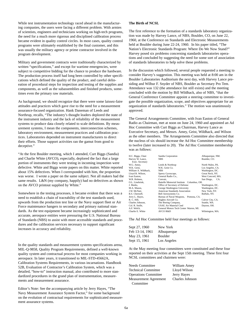While test instrumentation technology raced ahead in the manufacturing companies, the users were facing a different problem. With armies of scientists, engineers and technicians working on high-tech programs, the need for a much more rigorous and disciplined calibration process became evident in quality control circles. In most cases, quality control programs were ultimately established by the final customer, and this was usually the military agency or prime contractor involved in the program development.

Military and government contracts were traditionally characterized by written "specifications," and except for wartime emergencies, were subject to competitive bidding for the chance to produce the hardware. The production process itself had long been controlled by other specifications which defined the quality of the product, and careful delineation of procedural steps for inspection and testing of the supplies and components, as well as the subassemblies and finished products, sometimes even the primary raw materials.

As background, we should recognize that there were some laissez-faire attitudes and practices which gave rise to the need for a measurement assurance-focused organization. Hank Daneman of Leeds and Northrup, recalls, "The industry's thought leaders deplored the state of the instrument industry and the lack of reliability of the measurement systems to produce data closely related to scale definitions. By measurement systems, I mean the components, interconnection schemes, laboratory environment, measurement practices and calibration practices. Laboratories depended on instrument manufacturers to direct their efforts. Those support activities ran the gamut from good to deceptive."

"At the first Boulder meeting, which I attended, Curt Biggs (Sandia) and Charlie White (AVCO), especially, deplored the fact that a large portion of instruments they were testing in incoming inspection were defective. White and Biggs wrote papers on this matter. White reported about 15% defectives. When I corresponded with him, the proportion was worse. I wrote a paper on the same subject. Not all makers had the same results. L&N (my company, happily) had no defectives as shown on the AVCO printout supplied by White."

Somewhere in the testing processes, it became evident that there was a need to establish a chain of traceability of the test standards used, upwards from the production test line or the Navy support fleet or Air Force maintenance hangers to secondary and primary national standards. As the test equipment became increasingly sophisticated and accurate, aerospace entities were pressuring the U.S. National Bureau of Standards (NBS) to assist with more accessible standards and procedures and the calibration services necessary to support significant increases in accuracy and reliability.

In the quality standards and measurement systems specifications arena, MIL-Q-9858, Quality Program Requirements, defined a well-known quality system and contractual process for most companies working in aerospace. In later years, it transitioned to MIL-STD-45662A, Calibration Systems Requirements, in various incarnations. Handbook 52B, Evaluation of Contractor's Calibration System, which was a detailed, "how-to" instruction manual, also contributed to more standardized procedures in the grand plan of instrumentation, measurements and measurement assurance.

Editor's Note: See the accompanying article by Jerry Hayes, "The Navy Measurement Assurance System Factor," for some background on the evolution of contractual requirements for sophisticated measurement assurance systems.

## **The Birth of NCSL**

The first reference to the formation of a standards laboratory organization was made by Harvey Lance, of NBS, Boulder, CO, on June 22, 1960, at the Conference on Standards and Electronic Measurements held at Boulder during June 22-24, 1960. In his paper titled, "The Nation's Electronic Standards Program: Where Do We Now Stand?" Harvey posed six problems concerning standards laboratories operations and concluded by suggesting the need for some sort of association of standards laboratories to help solve these problems.

In the discussion which followed, several people requested a meeting to consider Harvey's suggestion. This meeting was held at 8:00 am in the Boulder Laboratories Auditorium the next day, with Harvey Lance presiding and Wilbur F. Snyder of NBS, Boulder as Secretary Pro Tem. Attendance was 132 (the attendance list still exists) and the meeting concluded with the motion by Bill Wildhack, also of NBS, "that the General Conference Committee appoint a steering committee to investigate the possible organization, scope, and objectives appropriate for an organization of standards laboratories." The motion was unanimously approved.

The General Arrangements Committee, with Ivan Easton of General Radio as Chairman, met at noon on June 24, 1960 and appointed an Ad Hoc Committee with Curt Biggs as Chairman, Harvey Lance as Executive Secretary, and Messrs. Amey, Geist, Wildhack, and Wilson as the other members. The Arrangements Committee also directed that the nucleus of six should increase the Ad Hoc Committee membership to twelve (later increased to 20). The Ad Hoc Committee membership was as follows:

| H.C. Biggs, Chair    | Sandia Corporation                        | Albuquerque, NM.  |
|----------------------|-------------------------------------------|-------------------|
| Harvey W. Lance,     | <b>NBS</b>                                | Boulder, CO.      |
| Exec. Secretary      |                                           |                   |
| W.G. Amey,           | Leeds & Northrup                          | North Wales, PA.  |
| W.K. Geist.          | W.K. Geist Co.                            | Los Angeles, CA.  |
| William A. Wildhack. | <b>NBS</b>                                | Washington, DC.   |
| Lloyd B. Wilson,     | Sperry Gyroscope,                         | Great Neck, NY.   |
| Ivan Easton.         | General Radio Co.,                        | West Concord, MA. |
| W.R. Holmes.         | Convair.                                  | San Diego,<br>CA. |
| O.L. Linebrink,      | Battelle Memorial Institute Columbus, OH. |                   |
| J. Marks.            | Office of Secretary of Defense            | Washington, DC.   |
| M.A. Mason.          | George Washington University              | Washington, DC.   |
| J.W. McNair.         | American Standards Association            | New York, NY.     |
| R.S. Chernoff.       | Bell Aerosystems Co.                      | Buffalo, NY.      |
| Jerry L. Hayes,      | Bureau of Naval Weapons, Pomona, CA.      |                   |
| R. C. Hill.          | Hughes Aircraft Co.                       | Culver City, CA.  |
| Charles Johnson.     | The Boeing Company,                       | Seattle, WA.      |
| Col. R. Stolle.      | USAF. Air Material Cmd                    | Dayton, OH.       |
| A.F. Welch.          | General Motors Tech Center Warren, MI.    |                   |
| Charlie E. White     | AVCO R&D                                  | Wilmington, MA.   |
|                      |                                           |                   |

The Ad Hoc Committee held four meetings as follows:

| Sept 27, 1960   | New York    |
|-----------------|-------------|
| Feb 13-14, 1961 | Albuquerque |
| May 23, 1961    | Boulder     |
| Sept 15, 1961   | Los Angeles |

At the May meeting four committees were constituted and these four reported on their activities at the Sept 15th meeting. These first four NCSL committees and chairmen were:

| Needs Committee              | William Amey    |
|------------------------------|-----------------|
| <b>Technical Committee</b>   | Lloyd Wilson    |
| <b>Operations Committee</b>  | Jerry Hayes     |
| <b>Measurement Agreement</b> | Charles Johnson |
| Committee                    |                 |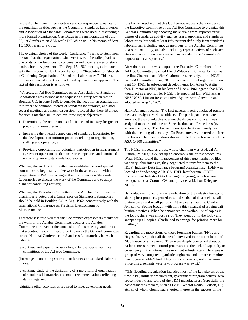In the Ad Hoc Committee meetings and correspondence, names for the organization title, such as the Council of Standards Laboratories and Association of Standards Laboratories were used in discussing a more formal organization. Curt Biggs in his memorandum of July 29, 1960 refers to an ASL while Bill Wildhack in his memo of Sept 15, 1960 refers to a CSL.

The eventual choice of the word, "Conference," seems to stem from the fact that the organization, whatever it was to be called, had as one of its prime functions to convene periodic conferences of standards laboratory personnel. The Sept 15, 1961 meeting culminated with the introduction by Harvey Lance of a "Resolution to Establish a Continuing Organization of Standards Laboratories." This resolution was amended slightly and adopted by unanimous approval. The text of this resolution is as follows:

"Whereas, an Ad Hoc Committee on an Association of Standards Laboratories was formed at the request of a group which met in Boulder, CO, in June 1960, to consider the need for an organization to further the common interest of standards laboratories, and after several meetings and much discussion, resolved that there IS a need for such a mechanism, to achieve three major objectives:

- 1. Determining the requirements of science and industry for greater precision in measurement,
- 2. Increasing the overall competence of standards laboratories by the development of uniform practices relating to organization, staffing and operation, and,
- 3. Providing opportunity for voluntary participation in measurement agreement operations to demonstrate competence and continued uniformity among standards laboratories;

Whereas, the Ad Hoc Committee has established several special committees to begin substantive work in these areas and with the cooperation of ISA, has arranged this Conference on Standards Laboratories to discuss the work of the Committee and to adopt plans for continuing activity;

Whereas, the Executive Committee of the Ad Hoc Committee has unanimously voted that a Conference on Standards Laboratories should be held in Boulder, CO in Aug, 1962, consecutively with the International Conference on Precision Electromagnetic Measurements;

Therefore it is resolved that this Conference expresses its thanks for the work of the Ad Hoc Committee, declares the Ad Hoc Committee dissolved at the conclusion of this meeting, and directs that a continuing committee, to be known as the General Committee for the National Conference on Standards Laboratories, be established to:

- (a)continue and expand the work begun by the special technical committees of the Ad Hoc Committee,
- (b)arrange a continuing series of conferences on standards laboratories,
- (c)continue study of the desirability of a more formal organization of standards laboratories and make recommendations reflecting its findings, and
- (d)initiate other activities as required to meet developing needs.

It is further resolved that this Conference requests the members of the Executive Committee of the Ad Hoc Committee to organize this General Committee by choosing individuals from representative phases of standards activity, such as users, suppliers, and standards laboratories, but with at least fifty percent definitely from standards laboratories; including enough members of the Ad Hoc Committee to assure continuity; and also including representatives of such societies and government agencies as may accede to the Committee's request to act as sponsors."

After the resolution was adopted, the Executive Committee of the Ad Hoc Committee selected Lloyd Wilson and Charles Johnson as the first Chairman and Vice Chairman, respectively, of the NCSL General Committee. Thus, NCSL became a formal organization on Sept 15, 1961. In subsequent developments, Dr. Allen V. Astin, then-Director of NBS, in his letter of Dec 4, 1961 agreed that NBS would act as a sponsor for NCSL. He appointed Bill Wildhack as NBS/NCSL Liaison Representative. Bylaws were drawn up and adopted on Aug 1, 1962.

Hank Daneman recalls, "The first general meeting included roundtables, and assigned various subjects. The participants circulated amongst these roundtables to share the discussion topics. I was assigned to the roundtable on Specifications and Procedures (two separate subjects). The discussion on Specifications mainly dealt with the meaning of accuracy. On Procedures, we focused on direction books. The Specifications discussion led to the formation of the ASA C-100 committee."

The NCSL Procedures group, whose chairman was at Naval Air Station, Pt. Mugu, CA, set up an enormous file of test procedures. When NCSL found that management of this large number of files was very labor intensive, they negotiated to transfer them to the IDEP (Industry Data Exchange Program) organization. IDEP was located at Vandenberg AFB, CA. IDEP later became GIDEP (Government Industry Data Exchange Program), which is now headquartered at Corona, CA, and provides a Liaison Delegate to NCSL.

Hank also mentioned one early indication of the industry hunger for sharing best practices, procedures, and statistical data such as calibration times and recall periods. "At one early meeting, Charlie Johnson of Boeing brought with him a thick manual of Boeing calibration practices. When he announced the availability of copies in the lobby, there was almost a riot. They went out in the lobby and snapped up all copies. Charlie had to arrange for printing more for mailing."

Regarding the motivations of those Founding Fathers (FF), Jerry Hayes observes, "that all the people involved in the formulation of NCSL were of a like mind. They were deeply concerned about our national measurement control processes and the lack of capability or consistency in the national measurement infrastructure. Here was a group of very competent, patriotic engineers, and a more committed bunch, you wouldn't find. They were cooperative, not adversarial. Since disagreements were few, progress was swift."

"This fledgling organization included most of the key players of the time-NBS, military procurement, government program offices, aerospace industry, and some of the T&M manufacturers (especially the basic standards makers, such as L&N, General Radio, Gertsch, HP, etc, all of whom clearly had a vested interest in the success of the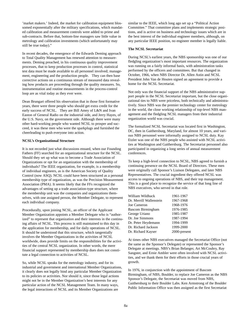'market makers.' Indeed, the market for calibration equipment blossomed exponentially after the military specifications, which mandated calibration and measurement controls were added to prime and sub-contracts. Before that, bottom-line managers saw little value in metrology and calibration investments (which unfortunately may still be true today)."

In recent decades, the emergence of the Edwards Deming approach to Total Quality Management has renewed attention to measurements. Deming preached, in his continuous quality improvement processes, that to keep production processes in control, statistical test data must be made available to all personnel involved; management, engineering and the production people. They can then base corrective actions on a continuous stream of measured data revealing how products are proceeding through the quality measures. So, instrumentation and routine measurements in the process-control loop are as vital today as they ever were.

Dean Brungart offered his observation that in those first formative years, there were three people who should get extra credit for the early success of NCSL. They are Bill Amey of L&N and Ivan Easton of General Radio on the industrial side, and Jerry Hayes, of the U.S. Navy, on the government side. Although there were many other hard-working people who wanted NCSL to prosper and succeed, it was these men who were the sparkplugs and furnished the cheerleading to push everyone into action.

### **NCSL's Organizational Structure**

It is not recorded just what discussions ensued, when our Founding Fathers (FF) searched for an organizational structure for the NCSL. Should they set up what was to become a Trade Association of Organizations or opt for an organization with the membership of individuals? The IEEE organization, for example, is a membership of individual engineers, as is the American Society of Quality Control (now ASQ). NCSL could have been structured as a personal membership type of organization, as was the Precision Measurement Association (PMA). It seems likely that the FFs recognized the advantages of setting up a trade association-type structure, where the membership unit was the companies and organizations themselves, with one assigned person, the Member Delegate, to represent each individual company.

Procedurally, upon joining NCSL, an officer of the Applicant Member Organization appoints a Member Delegate who is "authorized" to represent that organization and their interests in the continuing affairs of NCSL. This process is still maintained to this day in the application for membership, and for daily operations of NCSL. It should be understood that this structure, which tangentially involves the Member Organizations in the activities of NCSL worldwide, does provide limits on the responsibilities for the activities of the central NCSL organization. In other words, the mere financial support represented by membership dues does not constitute a legal connection to activities of NCSL.

So, while NCSL speaks for the metrology industry, and for its industrial and government and international Member Organizations, it clearly does not legally bind any particular Member Organization to its policies or activities. Nor should it, since those legal actions might not be in the Member Organization's best interests for any particular action of the NCSL Management Team. In many ways, the legal interactions of NCSL and its Member Organizations are

similar to the IEEE, which long ago set up a "Political Action Committee." That committee plans and implements strategic positions, and is active on business and technology issues which are in the best interest of the individual engineer members, although, on any particular IEEE position, no engineer member is legally liable.

### **The NCSL Secretariat**

During NCSL's earliest years, the NBS sponsorship was one of our fledgling organization's most important resources. The organization was running on a fairly informal basis, with administration tasks performed by the officers and committees. But that changed in October, 1966, when NBS Director Dr. Allen Astin and NCSL President John Van de Houten signed an agreement to provide a home for the NCSL Secretariat.

Not only was the financial support of the NBS administrative support people in the NCSL Secretariat important, but the close organizational ties to NBS were priceless, both technically and administratively. Since NBS was the premier technology center for metrology in the world, the close working relationship of top-level NBS management and the fledgling NCSL managers from their industrial organization world was crucial.

The formalized NCSL Secretariat was located first in Washington, DC, then in Gaithersburg, Maryland, for almost 10 years, and various NBS personnel were informally assigned to NCSL duty. Kay Etzler was one of the NBS people who assisted with NCSL activities at Washington and Gaithersburg. The Secretariat personnel also participated in organizing a long series of annual measurement conferences.

To keep a high-level connection to NCSL, NBS agreed to furnish a continuing presence on the NCSL Board of Directors. These men were originally call Sponsor's Liaison Delegates, and later NBS Representatives. The crucial ingredient they offered NCSL was access to ongoing operations of NBS, and their top management. This is a good place to recognize the service of that long line of NBS executives, who served in that role.

| William Wildhack         | 1961-1967    |
|--------------------------|--------------|
| Dr. Merrill Wallenstein  | 1967-1968    |
| Joe Cameron              | 1968-1976    |
| <b>Bascom Birmingham</b> | 1976-1985    |
| George Uriano            | 1985-1987    |
| Dr. Joe Simmons          | 1987-1994    |
| Dr. Peter Heydemann      | 1994-1999    |
| Dr. Richard Jackson      | 1999-2000    |
| Dr. Richard Kayser       | 2000-present |

At times other NBS executives managed the Secretariat Office (not the same as the Sponsor's Delegate) or represented the Sponsor's Delegate at meetings. NBS's Brian Belanger, Art McCoubry, Ray Sangster, and Ernie Ambler were often involved with NCSL activities, and we thank them for their efforts in those crucial years of growth.

In 1976, in conjunction with the appointment of Bascom Birmingham, of NBS, Boulder, to replace Joe Cameron as the NBS Sponsor's Delegate, the Secretariat was moved from NBS, Gaithersburg to their Boulder Labs. Ken Armstrong of the Boulder Public Information Office was then assigned as the first Secretariat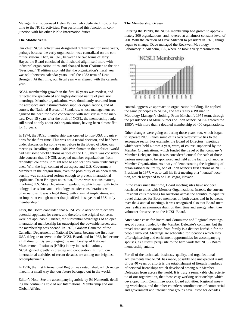Manager. Ken supervised Helen Valdez, who dedicated most of her time to the NCSL activities. Ken performed this function in conjunction with his other Public Information duties.

### **The Middle Years**

Our chief NCSL officer was designated "Chairman" for some years, perhaps because the early organization was centralized on the committee system. Then, in 1970, between the two terms of Jerry Hayes, the Board concluded that it should align itself more with industrial organization titles, and changed from Chairman to the title "President." Tradition also held that the organization's fiscal year was split between calendar years, until the 1982 term of Dean Brungart. At that time, our fiscal year was aligned with the calendar year.

NCSL membership growth in the first 15 years was modest, and reflected the specialized and highly-focused nature of precision metrology. Member organizations were dominantly recruited from the aerospace and instrumentation supplier organizations, and of course, the National Bureau of Standards, whose management recognized the need for close cooperation with industry in these matters. Even 15 years after the birth of NCSL, the membership ranks still stood at only about 200 organizations, having been almost flat for 10 years.

In 1974, the NCSL membership was opened to non-USA organizations for the first time. This was not a trivial decision, and had been under discussion for some years before in the Board of Directors meetings. Recalling that the Cold War climate in that political world had cast some world nations as foes of the U.S., there was considerable concern that if NCSL accepted member organizations from "friendly" countries, it might lead to applications from "unfriendly" ones. With the high content of aerospace and U.S. Government Members in the organization, even the possibility of an open membership was considered serious enough to prevent international applicants. Dean Brungart notes that, "these were serious matters, involving U.S. State Department regulations, which dealt with technology discussions and technology transfer considerations with other nations. It was a legal thing, with criminal implications, and an important enough matter that justified those years of U.S.-only membership."

Later, the Board concluded that NCSL could accept or reject any potential applicant for cause, and therefore the original concerns were not applicable. Further, the substantial advantages of an open international membership far outweighed the downside issues, and the membership was opened. In 1975, Graham Cameron of the Canadian Department of National Defence, became the first non-USA delegate to serve on the NCSL Board, and in 1982, he became a full director. By encouraging the membership of National Measurement Institutes (NMIs) in key industrial nations, NCSL gained greatly in prestige and cooperation. In truth, our international activities of recent decades are among our brightest accomplishments.

In 1976, the first International Region was established, which recognized in a small way that our future belonged out in the world.

Editor's Note: See the accompanying article by Ed Nemeroff, detailing the continuing role of our International Membership and our Global Affairs.

#### **The Membership Grows**

Entering the 1970's, the NCSL membership had grown to approximately 200 organizations, and hovered at an almost constant level of 200. With the election of Dave Mitchell to president in 1975, things began to change. Dave managed the Rockwell Metrology Laboratory in Anaheim, CA, where he took a very measurement-

## NCSLI Membership



control, aggressive approach to organization-building. He applied the same principles to NCSL, and was really a PR man in Metrology Manager's clothing. From Mitchell's 1975 term, through the presidencies of Mike Suraci and John Minck, NCSL entered the 1980's with more than a doubled membership of 400 organizations.

Other changes were going on during those years, too, which began to separate NCSL from some of its overly-restrictive ties to the aerospace sector. For example, the Board of Directors' meetings which were held 4 times a year, were, of course, supported by the Member Organizations, which funded the travel of that company's Member Delegate. But, it was considered crucial for each of those various meetings to be sponsored and held at the facility of another Member Organization. As a way of demonstrating the beginning of organizational neutrality, one of John Minck's first actions as NCSL President in 1977, was to call his first meeting at a "neutral" location, which happened to be Las Vegas, Nevada.

In the years since that time, Board meeting sites have not been restricted to cities with Member Organizations. Instead, the current President calls meetings for locations across the country, to equalize travel distances for Board members on both coasts and in-between, over the 4 annual meetings. It was recognized also that Board members realize an enormous drain on their time and energy when they volunteer for service on the NCSL Board.

Attendance costs for Board and Committee and Regional meetings are, of course, funded by the Member Delegate's company, but the travel time and separation from family is a distinct hardship for the people involved. Meetings are scheduled for locations which may offer sightseeing and enrichment opportunities for accompanying spouses, as a useful perquisite to the hard work that NCSL Board membership entails.

For all of the technical, business, quality, and organizational achievements that NCSL has made, possibly one unexpected result of our 40 years of efforts is the establishment of literally hundreds of personal friendships which developed among our Member Delegates from across the world. It is truly a remarkable characteristic of our organization, that those easy working relationships which developed from Committee work, Board activities, Regional meeting workshops, and the other countless coordinations of commercial and government and international groups have lasted for decades.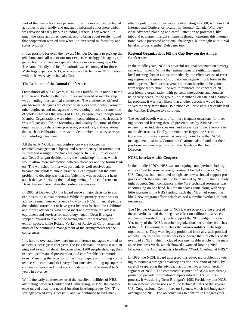Part of the reason for those personal roles in our complex technical activities is the friendly and unusually informal atmosphere which was developed early by our Founding Fathers. They were all in much the same activities together, and to bring about results, found that cooperation worked best when it didn't stand on formality and status symbols.

It was possible for even the newest Member Delegate to pick up the telephone and call one of our most expert Metrology Managers, and get an hour of advice and specific directions on solving a problem. The same friendly and helpful attitude was encouraged for those Metrology experts at NBS, who were able to help our NCSL people with their everyday technical efforts.

#### **The Evolution of the Annual Conference**

Over almost all our 40 years, NCSL was faithful to its middle name, Conference. Probably the most important benefit of membership was attending those annual conferences. The conferences offered our Member Delegates the chance to network with a whole array of other engineers and managers who were doing much the same kind of work. That was the genius of NCSL, because, even though some Member Organizations were often in competition with each other, it was still possible for the Metrology and Quality functions of those organizations to share their processes, procedures, and operational data such as calibration times vs. model number, or salary surveys for metrology personnel.

All the early NCSL annual conferences were focused on technical/management subjects, and were "plenary" in format, that is, they had a single time track for papers. In 1976, Jim Valentino and Dean Brungart decided to try the "workshop" format, which would allow more interaction between attendees and the forum leaders. The workshop format was particularly well received and became our standard annual practice. Dean reports that the only problem to develop was that Jim Valentino was struck by a heart attack that year, leaving the total organizing of the conference to Dean. Jim recovered after the conference was over.

In 1986, at Denver, CO, the Board made a major decision to add exhibits to the annual meetings. While the primary reason was to add some much needed revenue flow to the NCSL financial picture, the exhibits turned out to have great benefits for both the exhibitors and for the attendees, who could meet and examine the latest in equipment and services for metrology. Again, Dean Brungart stepped forward to take on the management for marketing the exhibit spaces, while Roland Vavken, of Rockwell Corp., assumed most of the continuing management of the arrangements for the conferences.

It is hard to overstate how hard our conference managers worked to achieve success year after year. The jobs demand the utmost in planning and execution detail, because when 1200 people show up, they expect a professional presentation, and comfortable accommodations. Managing the selection of technical papers and finding volunteer session commanders is very labor intensive. Lining up superior convention space and hotel accommodations must be done 4 to 5 years in advance.

While the early conferences used the excellent facilities of NBS, alternating between Boulder and Gaithersburg, in 1991 the conference moved away to a neutral location in Albuquerque, NM. This strategy proved very successful, and we continued to visit many

other popular cities of our nation, culminating in 2000, with our first International Conference location in Toronto, Canada. With very close advanced planning and careful attention to processes, like inbound equipment freight shipments through customs, this international venue presented additional challenges, but brought with it real benefits to our Member Delegates too.

## **Regional Organizations Fill the Gap Between the Annual Conferences**

In the middle years, NCSL's powerful regional organization strategy came into its own. While the regional structure utilizing regular local meetings began almost immediately, the effectiveness of creating aggressive Regional Coordinator management took form in the middle years. There were several important benefits to be gained from regional structure. One was to reinforce the concept of NCSL as a friendly organization with personal interactions and contacts being very central to the group. If a Member Delegate had a particular problem, it was very likely that another associate would have solved the very same thing, so a phone call or visit might easily lead the Member Delegate to a solution.

The second benefit was to offer more frequent occasions for meeting others and learning through presentations by NBS visitor experts, other industry speakers, and workshops to get everyone in on the discussions. Finally, the volunteer Region or Section Coordinator positions served as an entry point to further NCSL management positions. Committee Chairmen also found that their positions were entry portals to higher levels on the Board of Directors.

### **NCSL Interfaces with Congress**

In the middle 1970's, NBS was undergoing some periodic belt tightening caused by some severe government budget cutbacks. Yet, the U.S. Congress had continued to legislate new technical support programs which they mandated to be managed by NBS on their already tight budgets. Such confidence in the NBS technical resources was encouraging on one hand, but the mandates came along with very little increase in the NBS funding, such that NBS had something like 7 new program efforts which caused a terrific overload of their resources.

The Member Organizations of NCSL were observing the effect of these overloads, and their negative effect on calibration services, and were interested in trying to support the NBS budget process. Yet, many of the NCSL member organizations were other branches of the U.S. Government, such as the various military metrology organizations. They were legally prohibited from any such political activity. One thing we did try was to publicize the dire effects of the overload at NBS, which included one memorable article in the magazine Business Week, which showed a worried-looking NBS Director Ernie Ambler, under a headline, "Work Overload at NBS."

In 1982, the NCSL Board addressed this advocacy problem by voting to assume a stronger advocacy position in support of NBS, by carefully separating the advocacy activities into a "commercial" segment of NCSL. The commercial segment of NCSL was already primed to provide informational inputs into the U.S. political process. It was during Dean Brungart's 1982 Presidency that NCSL began informal discussions with the technical staffs of the several U.S. Congressional Committees on Science, which had budgetary oversight on NBS. The objective was to confirm to Congress that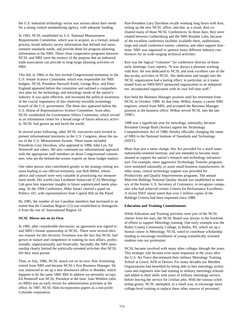the U.S. industrial technology sector was serious about their needs for a strong central standardizing agency, with adequate funding.

In 1983, NCSL established its U.S. National Measurement Requirements Committee, which was to acquire, as a formal, annual process, broad industry survey information that defined real measurement standards needs, and provide them for program planning information to the NBS. These close cooperative programs between NCSL and NBS were the essence of the purpose that an industrial trade association can provide to long-range planning activities of NBS.

This led, in 1984, to the first invited Congressional testimony to the U.S. Senate Science Committee, which was responsible for NBS budgets. NCSL President Hartwell Keith, George Rice, and Peter England appeared before the committee and outlined a comprehensive plan for the technology and metrology needs of the nation's industry. It was quite effective, and increased the political awareness of the crucial importance of this relatively-invisible technology branch of the U.S. government. The three also appeared before the U.S. House of Representatives Science Committee. Soon after, NCSL established the Government Affairs Committee, which served as an information center for a broad range of future advocacy activity. NCSL had grown up and faced the world.

In several years following, other NCSL executives were invited to present informational testimony to the U.S. Congress, about the status of the U.S. Measurement System. These teams included Presidents Gary Davidson, who appeared in 1988, John Lee, Ed Nemeroff and others. We also continued our informational approach with the appropriate staff members on those Congressional committees, who are the behind-the-scenes experts on those budget matters.

One other person who contributed greatly in the strategy-setting sessions leading to our official testimony, was Bob Weber, whose advice and counsel were very valuable in prioritizing our measurement needs. His world-class Lockheed Sunnyvale [CA] Metrology Lab gave him important insights to future sophisticated needs planning. At the 1994 Conference, Mike Suraci chaired a panel on Politics 101, with representatives from Capitol Hill on the Panel.

By 1985, the number of our Canadian members had increased to an extent that the Canadian Region (12) was established to distinguish it from the rest of International Region 10.

#### **NCSL Moves out on its Own**

In 1985, after considerable discussion, an agreement was signed to end NBS's formal sponsorship of NCSL. There were several obvious reasons for this decision. Foremost was the fact that NCSL had grown in stature and competence in running its own affairs, professionally, organizationally and financially. Secondly, the NBS sponsorship clearly limited the politically-oriented activities that NCSL felt they must pursue.

Thus, in July, 1986, NCSL struck out on its own. Ken Armstrong retired from NBS and became NCSL's first Business Manager. He was instructed to set up a new downtown office in Boulder, which happens to be the same 1800 30th St address we presently occupy. Ed Nemeroff was NCSL President at the time. Joan Wilshire (also ex-NBS) was an early recruit for administration activities at the office. In 1987, NCSL filed incorporation papers as a non-profit Colorado corporation.

Past-President Gary Davidson recalls working long hours with Ken, setting up the new NCSL office, and that, as a result, Ken cochaired many of those NCSL Conferences. In those days, they were rotated between Gaithersburg and the NBS Boulder Labs, because of the excellent conference facilities available there, auditoriums, large and small conference rooms, cafeteria, and other support functions. NBS was organized to sponsor many different industry conferences for its wide-ranging technical activities.

Ken was the logical "volunteer" for conference director of those early meetings. Gary reports, "It was always a pleasure working with Ken. He was dedicated to NCSL and took excellent care of the day-to-day activities of NCSL. His dedication and insight into the NCSL organization had a lasting effect, in particular, as it transitioned from an NBS/NIST-sponsored organization to an independent, incorporated organization with its own full time staff."

Ken held the Business Manager position until his retirement from NCSL in October, 1989. At that time, Wilbur Anson, a career NBS engineer, retired from NBS, and accepted the Business Manager position at the business office. Wilbur served NCSL into the late 1990's.

1988 was a significant year for metrology, nationally, because President George Bush (Senior) signed the Technology Competitiveness Act of 1988, thereby officially changing the name of NBS to the National Institute of Standards and Technology (NIST).

More than just a name change, this Act provided for a much more industrially-oriented Institute, and one intended to become more attuned to support the nation's research and technology infrastructure. For example, more aggressive Technology Transfer programs were instituted nationally, to assist small-business manufacturers. In other areas, central technology support was provided for Productivity and Quality Improvements programs. The annual Malcolm Baldrige National Quality Award was established in memory of the former U.S. Secretary of Commerce, to recognize companies who had achieved certain Criteria for Performance Excellence. A recent NIST report noted that over 2 million copies of the Baldrige Criteria had been requested since 1988.

#### **Education and Training Committments**

While Education and Training activities were part of the NCSL charter from the start, the NCSL Board was always in the forefront of efforts to support Metrology training. One early example was the Butler County Community College, in Butler, PA, which set up a formal course in Metrology. NCSL voted to contribute scholarship funding to encourage enrollment of young scientifically oriented students into our profession.

NCSL became involved with many other colleges through the years. This strategic role became even more important in the years after the U.S. Air Force discontinued their military Metrology Training School at Lowry AFB in Denver. For many decades our Member Organizations had benefited by being able to hire metrology technicians and engineers who had training in military metrology schools and added to their skills with years of military metrology service, before leaving the service for civilian jobs. With the various scholarship grants, NCSL attempted, in a small way, to encourage more college-level training to replace these other sources of personnel.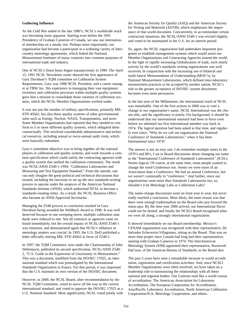#### **Gathering Influence**

As the Cold War ended in the late 1980's, NCSL's worldwide reach was becoming more apparent. Starting even before the 1991 Presidency of Graham Cameron of Canada, we saw our international membership on a steady rise. Perhaps more importantly, our organization had become a participant in a widening variety of intercountry metrology agreements, which linked the National Measurement Institutes of many countries into common purposes of international trade and industry.

One of NCSL's finest hours began inauspiciously in 1990. The April 15, 1991 NCSL Newsletter roster showed the first appearance of Gary Davidson's TQM committee on Calibration System Requirements. Gary was 1988 NCSL President, and a career manager at TRW, Inc. His experience in managing their vast equipment inventory and calibration processes within multiple quality systems gave him a mission to consolidate those varieties of calibration systems, which the NCSL Member Organizations worked under.

It was not just the number of military specifications, primarily MIL STD 45662, but also those quality systems of other governmental units such as Energy, Nuclear, NASA, Transportation, and more. Some Member Organizations had reported that they needed to conform to 5 or more different quality systems, which obligated them contractually. This involved considerable administrative and technical resources, including annual or twice-annual audit visits, which were basically redundant.

Gary's committee objective was to bring together all the national players in calibration and quality systems, and work towards a common specification which could satisfy the contracting agencies with a quality system that unified the calibration community. The result was NCSL/ANSI Z540-1-1994, "Calibration Laboratories and Measuring and Test Equipment Standard." From the outside, one can only imagine the great political and technical discussions that ensued, including the necessity to set up the new standards-writing process to operate under the auspices of the American National Standards Institute (ANSI), which authorized NCSL to become a standards-creating entity. As a result, the NCSL Business Office also became an ANSI-Approved Secretariat.

Managing the Z540 process to conclusion resulted in Gary Davidson being awarded the Wildhack Award in 1996. It was well deserved because in one sweeping move, multiple calibration standards were reduced to one. Not all contracts or agencies came on board immediately, but the overall impact of NCSL/ANSI Z540-1 was immense, and demonstrated again that NCSL's influence in metrology matters was crucial. In 1995, the U.S. DoD published a letter officially retiring MIL STD 45662 in favor of Z540-1.

In 1997, the TQM Committee, now under the Chairmanship of John Wehrmeyer, published its second specification, NCSL/ANSI Z540- 2, "U.S. Guide to the Expression of Uncertainty in Measurement." This was a document, modified from the ISO/IEC 17025, an international standard which was promulgated by the International Standards Organization in France. For that period, it was important that the U.S. maintain its own version of the ISO/IEC document.

However, in 2000, the NCSL Board, after recommendation by the NCSL TQM Committee, voted to move all the way to the current international standard, and voted to approve the ISO/IEC 17025 as a U.S. National Standard. Most significantly, NCSL voted jointly with the American Society for Quality (ASQ) and the American Society for Testing and Materials (ASTM), which emphasizes the importance of that world document. Concurrently, to accommodate certain contractual situations, the NCSL/ANSI Z540-1 was revised slightly, and voted to be maintained in the U.S. for an interim period.

So, again, the NCSL organization had undertaken important programs to establish management systems which would assist our Member Organizations and Contracting Agencies around the world. In the light of rapidly increasing Globalization of trade, such timely activity by the world's standards writing organizations was well received. In conjunction with the increasing use of bilateral and multi-lateral Memorandums of Understanding (MOU's), by National Measurement Laboratories, which defined inter-laboratory measurement practices to be accepted by another nation, NCSL's role in the greater acceptance of ISO/IEC system documents becomes even more persuasive.

In the last year of the Millennium, the international reach of NCSL was remarkable. One of the first actions in 2000 was to vote a change in our organization's name. NCSL International was the chosen title, and the significance is timely. For background, it should be understood that our international outreach had been in force even before we admitted our first international member way back in 1974. The logical question had been asked at that time, and regularly ever since, "Why do we call our organization the National Conference of Standards Laboratories," when it has been International since 1974?

The answer is not an easy one. I do remember multiple times in the 1970's and 80's, I sat in Board discussions about changing our name to the "International Conference of Standards Laboratories" (ICSL). Seems logical. Of course, at the same time, some people wanted to change the word Conference too. Seems we were more of an Association than a Conference. We had an annual Conference, but we weren't continually in "conference." And further, since our organizations were more than Standards Laboratories too, so, shouldn't it be Metrology Labs or Calibration Labs?

The name-change discussions went on from year to year, but never really reached a conclusion. Most likely, the main reason was that there were enough traditionalists on the Board who just favored the status-quo. By the time year 2000 arrived, our International flavor could not be denied, and finally the NCSLI Board recognized what we were all along, a strongly international organization.

It showed immediately on our Board membership. Mexico's CENAM organization was recognized with their representative, Dr. Salvador Echeverria-Villagomez, sitting on the Board. That was no more than proper since Canada had long had their representative, starting with Graham Cameron in 1974. The InterAmerican Metrology System (SIM) appointed their representative, Roosevelt DaCosta, of the Jamaican Bureau of Standards, to the Board also.

The past 5 years have seen a remarkable increase in world accreditation, registration and certification activities. And, since NCSLI Member Organizations were often involved, we have taken on a leadership role in harmonizing the relationships with all these national and regional bodies. Our Liaisons read like a world census of accreditation: The American Association for Laboratory Accreditation, The European Cooperation for Accreditation, Asia/Pacific Laboratory Accreditation, North American Calibration Cooperation/N.A. Metrology Cooperation, and others.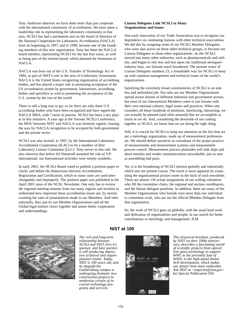Tony Anderson observes we have done more than just cooperate with the international community of accreditation. We have taken a leadership role in representing the laboratory community in that area. NCSLI has had a permanent seat on the board of directors of the National Cooperation for Laboratory Accreditation (NACLA) from its beginning in 1997, and in 1998, became one of the founding members of this new organization. Tony has been the NACLA board member, representing NCSLI for the last four years, as well as being part of the interim board, which planned the formation of NACLA.

NACLA was born out of the U.S. Transfer of Technology Act of 1994, as part of NIST's role in the area of Conformity Assessment. NACLA is the United States recognizing organization of accrediting bodies, and has played a major role in promoting acceptance of the US accreditation system by government, laboratories, accrediting bodies and specifiers as well as promoting the acceptance of the U.S. system by the rest of the world.

There is still a long way to go; so far there are only three U.S. accrediting bodies who have been recognized and have signed the NACLA MRA, with 7 more in process. NCSLI has been a key player in this initiative. A year ago at the Toronto NCSLI Conference, the MOU between NIST and NACLA was formerly signed, clearing the way for NACLA recognition to be accepted by both government and the private sector.

NCSLI was also invited, in 1997, by the International Laboratory Accreditation Cooperation (ILAC) to be a member of their Laboratory Liaison Committee (LLC). Tony serves in this role. He also observes that before Ed Nemeroff assumed the role of V.P. International, our International activities were mostly symbolic.

In early 2001, the NCSLI Board voted to publish a position paper to clarify and define the distinctions between Accreditation, Registration and Certification, which in some cases are used interchangeably and improperly. The position paper was published in the April 2001 issue of the NCSL Newsletter. One only has to review the regional meeting minutes from our many regions and sections to understand how important these accreditation issues are, by merely counting the ratio of presentations made to our Members. And internationally, they just tie our Member Organizations and all the Global legal entities closer together and assure better cooperation and understandings.

### **Liaison Delegates Link NCSLI to Many Organizations and Issues**

One early innovation of our Trade Association was to recognize our dependence on continuing liaisons with other technical associations. We did this by assigning some of our NCSLI Member Delegates, who were also active on those other technical groups, to become our Liaison Delegates to those other organizations. As the NCSLI moved into many other industries, such as pharmaceuticals and utilities, and began to rely less and less upon our traditional aerospaceindustry base, our liaisons reach broadened. The present roster of Liaison Delegates numbers 23, a remarkable way for NCSLI to keep up with common management and technical issues of the world's organizations.

Satisfying the extremely broad constituencies of NCSLI is an endless and unfinished job. Not only are our Member Organizations spread across dozens of different industrial and government sectors, but most of our International Members come to our forums with their own national cultures, legal issues and practices. When one considers all those hundreds of positions, interfacing, interacting, we can actually be pleased (and often amazed) that we accomplish as much as we do. And, considering the downside of not coming together as NCSLI, we know that we are doing the right thing.

Still, it is crucial for NCSLI to keep our attention on the fact that we are a metrology organization, made up of measurement professionals. We should define ourselves as custodians of the proper practice of measurements and measurement systems and measurement process control. Measurement process platitudes will sink ships and abort missiles and render communications unworkable, just as sure as assembling bad parts.

Yet, it is the broadening of NCSLI interest globally and industrially which sets our present course. The reach is most apparent by examining the organizational picture roster in the back of each newsletter. There are almost 150 actual assignments of our willing volunteers who fill the committee chairs, the regional and section coordinators, and the liaison delegate positions. In addition, there are many of the Member Organizations who furnish even more than one individual to committee work, who are not the official Member Delegate from that organization.

So, the work of NCSLI goes on globally, with the usual hard work and dedication of organizations and people, in our search for better contributions to metrology and management. JLM



*The rich and long-term relationship between NCSLI and NIST, first it's sponsor, and later partner, is still producing impressive technical and organizational results. Today, NIST is 100 years old, and its magnificent Gaithersburg campus is undergoing dramatic new construction projects to modernize certain of its crucial technology programs and services.* 

## **NIST at 100**



*This historical brochure, produced by NIST on their 100th anniversary, describes a fascinating world of scientific projects from optical lens glass technology to support WWI, to the proximity fuse of WWII, to the high-speed dental drill development, which makes our dental visits more endurable. Ask NIST at <inquiries@nist.gov> for Special Publication 956.*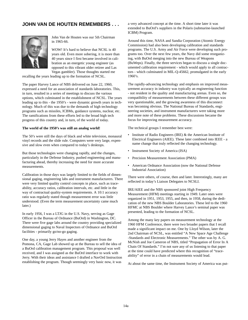## **JOHN VAN DE HOUTEN REMEMBERS . . .**



John Van de Houten was our 5th Chairman in 1965-66.

WOW! It's hard to believe that NCSL is 40 years old. Even more sobering, it is more than 40 years since I first became involved in calibration as an energetic young engineer (as opposed to this vibrant older retiree and Las Vegas gambler). Those thoughts started me

recalling the years leading up to the formation of NCSL.

The paper Harvey Lance of NBS delivered on June 22, 1960, expressed a need for an association of standards laboratories. This, in turn, resulted in a series of meetings to discuss the various options, which culminated in the establishment of NCSL. The years leading up to this - the 1950's - were dynamic growth years in technology. Much of this was due to the demands of high technology programs such as missiles, ICBMs, guidance systems, nuclear, etc. The ramifications from these efforts led to the broad high tech progress of this country and, in turn, of the world of today.

### **The world of the 1950's was still an analog world!**

The 50's were still the days of black and white television, monaural vinyl records and the slide rule. Computers were very large, expensive and slow even when compared to today's desktops.

But those technologies were changing rapidly, and the changes, particularly in the Defense Industry, pushed engineering and manufacturing ahead, thereby increasing the need for more accurate measurements.

Calibration in those days was largely limited to the fields of dimensional gaging, engineering labs and instrument manufacturers. There were very limited quality control concepts in place, such as traceability, accuracy ratios, calibration intervals, etc. and little in the way of contractual quality-system requirements. A 10:1 accuracy ratio was regularly stated though measurement error was little understood. (Even the term measurement uncertainty came much later.)

In early 1956, I was a LTJG in the U.S. Navy, serving as Gage Officer in the Bureau of Ordnance (BuOrd) in Washington, DC. There were five gage labs around the country providing specialized dimensional gaging to Naval Inspectors of Ordnance and BuOrd facilities - primarily go/no-go gaging.

One day, a young Jerry Hayes and another engineer from the Pomona, CA, Gage Lab showed up at the Bureau to sell the idea of a BuOrd calibration management program. This proposal was well received, and I was assigned as the BuOrd interface to work with Jerry. With their ideas and assistance I drafted a NavOrd Instruction establishing the program. Though seemingly very basic now, it was

a very advanced concept at the time. A short time later it was extended to BuOrd's suppliers in the Polaris (submarine-launched ICBM) Program.

Around this time, NASA and Sandia Corporation (Atomic Energy Commission) had also been developing calibration and standards programs. The U.S. Army and Air Force were developing such programs too. Over the next few years, the Navy did some reorganizing, with BuOrd merging into the new Bureau of Weapons (BuWeps). Finally, the three services began to discuss a single documented calibration requirement - which would apply to all contractors - which culminated in MIL-Q-45662, promulgated in the early 1960's.

The rapidly-advancing technology and emphasis on improved measurement accuracy in industry was typically an engineering function - not resident in the quality and manufacturing arenas. Even so, the compatibility of measurements between these different groups was very questionable, and the growing awareness of this disconnect was becoming obvious. The National Bureau of Standards, engineering societies, and instrument manufacturers were taking more and more note of these problems. These discussions became the focus for improving measurement accuracy.

The technical groups I remember best were:

- Institute of Radio Engineers (IRE) & the American Institute of Electrical Engineers (AIEE). These later combined into IEEE - a name change that truly reflected the changing technology.
- Instrument Society of America (ISA)
- Precision Measurement Association (PMA)
- American Ordnance Association (now the National Defense Industrial Association)

There were others, of course, then and later. Interestingly, many are reflected in today's Liaison Delegates to NCSLI.

IRE/AIEE and the NBS sponsored joint High Frequency Measurement (HFM) meetings starting in 1949. Later ones were organized in 1951, 1953, 1955, and then, in 1958, during the dedication of the new NBS Boulder Laboratories. These led to the 1960 HFMC at NBS Boulder where Harvey Lance's seminal paper was presented, leading to the formation of NCSL.

Among the many key papers on measurement technology at the 1960 HFM Conference, there were two broader papers that I recall made a significant impact on me. One by Lloyd Wilson, later the 2nd Chairman of NCSL, was entitled "A New Space Age Challenge -Standards and Electronic Measurements." The other was by A. G. McNish and Joe Cameron of NBS, titled "Propagation of Error In A Chain Of Standards." I'm not sure any of us listening to that paper at the time could have predicted where this recognition of "traceability" of error in a chain of measurements would lead.

At about the same time, the Instrument Society of America was put-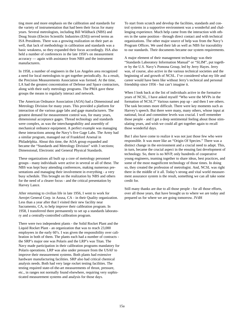ting more and more emphasis on the calibration and standards for the variety of instrumentation that had been their focus for many years. Several metrologists, including Bill Wildhack (NBS) and Doug Strain (Electro Scientific Industries (ESI)) served terms as ISA Presidents. There was a growing realization on their part as well, that lack of methodology in calibration and standards was a basic weakness, so they expanded their focus accordingly. ISA also held a number of conferences in the late 1950's on measurement accuracy — again with assistance from NBS and the instrument manufacturers.

In 1958, a number of engineers in the Los Angeles area recognized a need for local metrologists to get together periodically. As a result, the Precision Measurements Association was formed. At the time, LA had the greatest concentration of Defense and Space contractors, along with their early metrology programs. The PMA gave these groups the means to regularly interact and network.

The American Ordnance Association (AOA) had a Dimensional and Metrology Division for many years. This provided a platform for interaction of the various gage labs and gage manufacturers. The greatest demand for measurement control was, for many years, dimensional acceptance gages. Thread technology and standards were complex, as was the interchangeability and assembly of mechanical ordnance equipment. A perfect example was managing these interactions among the Navy's five Gage Labs. The Army had a similar program, managed out of Frankford Arsenal in Philadelphia. About this time, the AOA group expanded and became the "Standards and Metrology Division" with 3 sections; Dimensional, Electronic and General Physical Standards.

These organizations all built up a core of metrology personnel groups - many individuals were active in several or all of these. The NBS was kept busy attending conferences, making numerous presentations and managing their involvement in everything - a very busy schedule. This brought on the realization by NBS and others for the need of a clearer focus - and the critical presentation by Harvey Lance.

After returning to civilian life in late 1956, I went to work for Aerojet General Corp. in Azusa, CA - in their Quality organization. Less than a year after that I visited their new facility near Sacramento, CA, to help improve their calibration program. In 1958, I transferred there permanently to set up a standards laboratory and a centrally-controlled calibration program.

There were two independent plants - the Solid Rocket Plant and the Liquid Rocket Plant - an organization that was to reach 23,000 employees in the early 60's. I was given the responsibility over calibration in both of them. The plants each had a number of contracts the SRP's major one was Polaris and the LRP's was Titan. The Navy made participation in their calibration programs mandatory for Polaris operations. LRP was also under pressure from the USAF to improve their measurement systems. Both plants had extensive hardware manufacturing facilities. SRP also had critical chemical analysis needs. Both had very large rocket testing facilities. The testing required state-of-the-art measurements of thrust, pressure, etc., in ranges not normally found elsewhere, requiring very sophisticated measurement systems and analysis for those days.

To start from scratch and develop the facilities, standards and control systems in a supportive environment was a wonderful and challenging experience. Much help came from the interaction with others in the same position - through direct contact and with technical organizations. The other major source of help was from the Navy's Program Offices. We used their lab as well as NBS for traceability to our standards. Their documents became our system requirements.

A major element of their management technology was their "Standards Laboratory Information Manual" or "SLIM", put together by the U.S. Navy's Pomona Group, led by Jerry Hayes. Jerry was, of course, also active in the various technical societies and the beginning of and growth of NCSL. I've considered what my life and career would have been like without Jerry's technical and personal friendship since 1956 - but can't imagine it.

When I look back at the list of individuals active in the formative years of NCSL, I have asked myself "Who were the MVPs in the formation of NCSL?" Various names pop up - and then I see others. The task becomes more difficult. There were key moments such as Harvey's speech. But there were many, many others, whose input at national, local and committee levels was crucial. I well remember those people - and I get a deep sentimental feeling about those stimulating years, and wish we could all get together again to recall those wonderful days.

But I also have come to realize it was not just those few who were responsible. It was more like an "Origin Of Species." There was a distinct change in the environment and a crucial need to adapt. This, in turn, became the crucial aspect in the ensuing fast development of technology. So, there is no MVP, only hundreds of cooperative young engineers, teaming together to share ideas, best practices, and some of the most magnificent technology of those times. In doing so, they created the profession of metrologist. And, NCSL was right there in the middle of it all. Today's strong and vital world measurement assurance system is the result, something we can all take some credit for.

Still many thanks are due to all those people - for all those efforts, over all those years, that have brought us to where we are today and prepared us for where we are going tomorrow. JVdH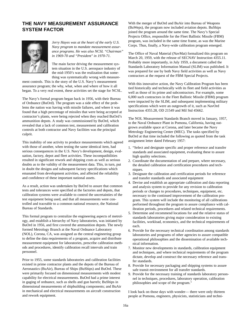## **THE NAVY MEASUREMENT ASSURANCE SYSTEM FACTOR**



*Jerry Hayes was at the heart of the early U.S. Navy program to mandate measurement assurance programs. He was also NCSL "Chairman" in 1969-70 and "President" in 1970-71.*

The main factor driving the measurement system situation in the U.S. aerospace industry of the mid-1950's was the realization that something was systematically wrong with measure-

ment controls. This is the story of the U.S. Navy's measurement assurance program; the why, what, when and where of how it all began. To a very real extent, these activities set the stage for NCSL.

The Navy's formal program began back in 1956, with their Bureau of Ordnance (BuOrd). The program was a side effect of the problems the nation was having with missile failures, and where it was found that a high percentage of missiles that were being accepted at contractor's plants, were being rejected when they reached BuOrd's ammunition depots. A study was commissioned by BuOrd, which revealed that a lack of common test, measurement and calibration controls at both contractor and Navy facilities was the principal culprit.

This inability of one activity to produce measurements which agreed with those of another, when testing the same identical item, had serious consequences in the U.S. Navy's development, design, evaluation, factory, depot and fleet activities. These incompatibilities resulted in significant rework and shipping costs as well as serious doubts as to the validity of the measurement data. This, in turn, put in doubt the designs and subsequent factory specifications which emanated from development activities, and affected the reliability and confidence of these important national assets.

As a result, action was undertaken by BuOrd to assure that common tests and tolerances were specified at the factories and depots, that calibration systems were available to control the uncertainties of the test equipment being used, and that all measurements were controlled and traceable to a common national resource, the National Bureau of Standards.

This formal program to centralize the engineering aspects of metrology, and establish a hierarchy of Navy laboratories, was initiated by BuOrd in 1956, and first covered the ammunition depots. The newly formed Metrology Branch at the Naval Ordnance Laboratory (NOL), Corona, CA, was assigned as the central engineering group to define the data requirements of a program, acquire and distribute measurement equipment for laboratories, prescribe calibration methods and procedures, identify calibration recall intervals and train personnel.

Prior to 1955, some standards laboratories and calibration facilities existed in prime contractor plants and the depots of the Bureau of Aeronautics (BuAir), Bureau of Ships (BuShips) and BuOrd. These were primarily focused on dimensional measurements with modest capability for electrical measurements. BuOrd had a prime interest in gaging of ordnance, such as shells and gun barrels; BuShips in dimensional measurements of shipbuilding components; and BuAir in mechanical and electrical measurements on aircraft construction and rework equipment.

With the merger of BuOrd and BuAir into Bureau of Weapons (BuWeps), the program now included aviation depots. BuShips joined the program around the same time. The Navy's Special Projects Office, responsible for the Fleet Ballistic Missile (FBM) program, was included in the same time frame, as was the Marine Corps. Thus, finally, a Navy-wide calibration program emerged.

The Office of Naval Material (NavMat) formalized this program on March 20, 1959, with the release of SECNAV Instruction 4355.11. Probably more importantly, in July 1959, a document called the Standards Laboratory Information Manual (SLIM) was published. It was prepared for use by both Navy field activities as well as Navy contractors at the request of the FBM Special Projects.

With this innovative action, the Navy Calibration Program has been tied historically and technically with its fleet and field activities as well as those of its prime and subcontractors. For example, some 6,000 such contractors in the Fleet Ballistic Missile (FBM) program were impacted by the SLIM, and subsequent implementing military specifications which were an outgrowth of it, such as NavOrd Instruction 4355.28, OD 21549 and Mil Std 45662.

The NOL Measurement Standards Branch moved in January, 1957, to the Naval Ordnance Plant in Pomona, California, having outgrown available space at Corona, and later became the Navy Metrology Engineering Center (MEC). The tasks specified by BuOrd at that time included the following as quoted from the task assignment letter dated February 1957:

- 1. "Select and designate specific and proper reference and transfer standards and associated equipment, evaluating these to assure high quality selections.
- 2. Coordinate the documentation of and prepare, where necessary, the detailed calibration and certification procedures and techniques.
- 3. Designate the calibration and certification periods for reference and transfer standards and associated equipment
- 4. Devise and establish an appropriate calibration and data reporting and analysis system to provide for any revision to calibration periods or changes to procedures, techniques, equipment, etc. necessary to the continued improvement of the calibration program. This system will include the monitoring of all calibrations performed throughout the program to assure compliance with calibration periods, procedures and related technical requirements.
- 5. Determine and recommend locations for and the relative status of standards laboratories giving major consideration to existing facilities, workload, economics, and the technical requirements of each.
- 6. Provide for the necessary technical coordination among standards laboratories and programs of other agencies to assure compatible operational philosophies and the dissemination of available technical information.
- 7. Monitor new developments in standards, calibration equipment and techniques, and where technical requirements of the program dictate, develop and construct the necessary reference and transfer standards.
- 8. Provide for necessary packaging and shipping systems to assure safe transit environment for all transfer standards.
- 9. Provide for the necessary training of standards laboratory personnel in techniques, procedures, laboratory operation, calibration philosophies and scope of the program."

I look back on those days with wonder— there were only thirteen people at Pomona, engineers, physicists, statisticians and techni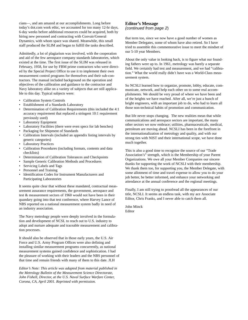cians—, and am amazed at our accomplishments. Long before today's dot.com work ethic, we accounted for too many 12-hr days, 6-day weeks before additional resources could be acquired, both by hiring new personnel and contracting with Convair/General Dynamics, with whom space was shared. Meanwhile, this small staff produced the SLIM and began to fulfill the tasks described.

Admittedly, a lot of plagiarism was involved, with the cooperation and aid of the few aerospace company standards laboratories, which existed at the time. The first issue of the SLIM was released in February, 1958, for use by FBM prime contractors who were directed by the Special Project Office to use it to implement their own measurement control programs for themselves and their sub-contractors. The manual included background on the operation and objectives of the calibration and guidance to the contractor and Navy laboratory alike on a variety of subjects that are still applicable to this day. Typical subjects were:

- Calibration System Controls
- Establishment of a Standards Laboratory
- Determination of Calibration Requirements (this included the 4:1 accuracy requirement that replaced a stringent 10:1 requirement previously used)
- Laboratory Equipment
- Laboratory Facilities (there were even specs for lab benches)
- Packaging for Shipment of Standards
- Calibration Intervals (included an appendix listing intervals by generic categories)
- **Laboratory Practices**
- Calibration Procedures (including formats, contents and data checklists)
- Determination of Calibration Tolerances and Checkpoints
- Sample Generic Calibration Methods and Procedures
- Servicing Labels and Tags
- Personnel and Training
- Identification Codes for Instrument Manufacturers and Participating Laboratories

It seems quite clear that without these mandated, contractual measurement assurance requirements, the government, aerospace and test & measurement sectors of 1960 would not have been in their quandary going into that test conference, where Harvey Lance of NBS reported on a national measurement system badly in need of an industry association.

The Navy metrology people were deeply involved in the formulation and development of NCSL to reach out to U.S. industry to adopt and nurture adequate and traceable measurement and calibration processes.

It should also be observed that in those early years, the U.S. Air Force and U.S. Army Program Offices were also defining and installing similar measurement programs concurrently, as national measurement systems gained confidence and sophistication. I had the pleasure of working with their leaders and the NBS personnel of that time and remain friends with many of them to this date. JLH

*Editor's Note: This article was adapted from material published in the Metrology Bulletin of the Measurement Science Directorate, John Fishell, Director, at the U.S. Naval Surface Warfare Center, Corona, CA, April 2001. Reprinted with permission.*

## **Editor's Message**  (continued from page 2)

that term too, since we now have a good number of women as Member Delegates, some of whom have also retired. So I have tried to assemble this commemorative issue to meet the mindset of our 5-10 year Members.

About the only value in looking back, is to figure what our founding fathers were up to. In 1961, metrology was barely a separate field. We certainly had test and measurement, and we had "calibration." What the world really didn't have was a World-Class measurement system.

So NCSLI learned how to organize, promote, lobby, educate, communicate, network, and help each other on to some real accomplishments. We should be very proud of where we have been and of the heights we have reached. After all, we're just a bunch of bright engineers, with an important job to do, who had to learn all those non-technical habits of promotion and communication.

But life never stops changing. The new realities mean that while communications and aerospace sectors are important, the many other sectors we now embrace; utilities, pharmaceuticals, medical, petroleum are moving ahead. NCSLI has been in the forefront in the internationalization of metrology and quality, and with our strong ties with NIST and their international scope, we have done much together.

This is also a good time to recognize the source of our "Trade Association's" strength, which is the Membership of your Parent Organizations. We owe all your Member Companies our sincere thanks for supporting the work of NCSLI with their membership. We thank them too, for supporting you, the Member Delegate, with some allotment of time and travel expense to allow you to do your job better, be better informed, and enhance your networking and attendance at the annual conference and the regional meetings.

Finally, I am still trying to proofread all the appearances of our title, NCSLI. It seems an endless task, with my ace Associate Editor, Chris Franks, and I never able to catch them all.

John Minck Editor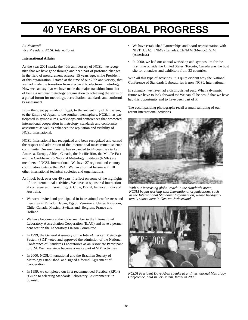## **40 YEARS OF GLOBAL PROGRESS**

## *Ed Nemeroff*

*Vice President, NCSL International*

## **International Affairs**

As the year 2001 marks the 40th anniversary of NCSL, we recognize that we have gone through and been part of profound changes in the field of measurement science. 15 years ago, while President of this organization, I stated at the time of our 25th anniversary, that we had made the transition from electrical to electronic metrology. Now we can say that we have made the major transition from that of being a national metrology organization to achieving the status of a global forum for metrology, accreditation, standards and conformity assessment.

From the great pyramids of Egypt, to the ancient city of Jerusalem, to the Empire of Japan, to the southern hemisphere, NCSLI has participated in symposiums, workshops and conferences that promoted international cooperation in metrology, standards and conformity assessment as well as enhanced the reputation and visibility of NCSL International.

NCSL International has recognized and been recognized and earned the respect and admiration of the international measurement science community. Our membership has expanded to 44 countries in Latin America, Europe, Africa, Canada, the Pacific Rim, the Middle East and the Caribbean. 26 National Metrology Institutes (NMIs) are members of NCSL International. We have 27 regional and country coordinators outside the USA. We have formal liaison with 10 other international technical societies and organizations.

- As I look back over our 40 years, I reflect on some of the highlights of our international activities. We have co-sponsored international conferences in Israel, Egypt, Chile, Brazil, Jamaica, India and Australia.
- We were invited and participated in international conferences and meetings in Ecuador, Japan, Egypt, Venezuela, United Kingdom, Chile, Canada, Mexico, Switzerland, Belgium, France and Holland.
- We have become a stakeholder member in the International Laboratory Accreditation Cooperation (ILAC) and have a permanent seat on the Laboratory Liaison Committee.
- In 1999, the General Assembly of the Inter-American Metrology System (SIM) voted and approved the admission of the National Conference of Standards Laboratories as an Associate Participant to SIM. We have since become a major part of SIM activities
- In 2000, NCSL-International and the Brazilian Society of Metrology established and signed a formal Agreement of Cooperation.
- In 1999, we completed our first recommended Practice, (RP14) "Guide to selecting Standards Laboratory Environments" in Spanish.
- We have established Partnerships and board representation with NIST (USA), INMS (Canada), CENAM (Mexico), SIM (Americas)
- In 2000, we had our annual workshop and symposium for the first time outside the United States. Toronto, Canada was the host site for attendees and exhibitors from 33 countries.

With all this type of activities, it is quite evident why the National Conference of Standards Laboratories is now NCSL International.

In summary, we have had a distinguished past. What a dynamic future we have to look forward to! We can all be proud that we have had this opportunity and to have been part of it.

The accompanying photographs recall a small sampling of our recent International activities.



*With our increasing global reach in the standards arena, NCSLI began working with International organizations, such as the International Standards Organization, whose headquarters is shown here in Geneva, Switzerland.* 



*NCLSI President Dave Abell speaks at an International Metrology Conference, held in Jerusalem, Israel in 2000.*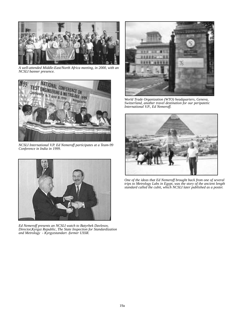

*A well-attended Middle-East/North Africa meeting, in 2000, with an NCSLI banner presence.*



*NCSLI International V.P. Ed Nemeroff participates at a Team-99 Conference in India in 1999.*



*Ed Nemeroff presents an NCSLI watch to Batyrbek Davlesov, Director,Kyrgyz Republic, The State Inspection for Standardization and Metrology - Kyrgyzstandart -former USSR.*



*World Trade Organization (WTO) headquarters, Geneva, Switzerland, another travel destination for our peripatetic International V.P., Ed Nemeroff.*



*One of the ideas that Ed Nemeroff brought back from one of several trips to Metrology Labs in Egypt, was the story of the ancient length standard called the cubit, which NCSLI later published as a poster.*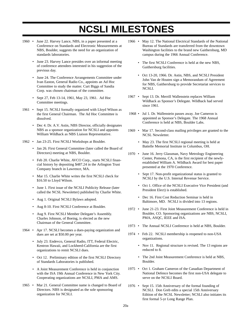## **NCSLI MILESTONES**

- 1960 June 22. Harvey Lance, NBS, in a paper presented at a Conference on Standards and Electronic Measurements at NBS, Boulder, suggests the need for an organization of standards laboratories.
	- June 23. Harvey Lance presides over an informal meeting of conference attendees interested in his suggestion of the previous day.
	- June 24. The Conference Arrangements Committee under Ivan Easton, General Radio Co., appoints an Ad Hoc Committee to study the matter. Curt Biggs of Sandia Corp. was chosen chairman of the committee.
	- Sept 27, Feb 13-14, 1961, May 23, 1961. Ad Hoc Committee meetings.
- 1961 Sept 15. NCSLI formally organized with Lloyd Wilson as the first General Chairman. The Ad Hoc Committee is dissolved.
	- Dec 4. Dr. A.V. Astin, NBS Director, officially designates NBS as a sponsor organization for NCSLI and appoints William Wildhack as NBS Liaison Representative.
- 1962 Jan 23-25. First NCSLI Workshops at Boulder.
	- Jan 26. First General Committee (later called the Board of Directors) meeting at NBS, Boulder.
	- Feb 20. Charlie White, AVCO Corp., starts NCSLI financial history by depositing \$487.24 in the Arlington Trust Company branch in Lawrence, MA.
	- Mar 15. Charlie White writes the first NCSLI check for \$16.50 to Lloyd Wilson.
	- June 1. First issue of the NCSLI Publicity Release (later called the NCSL Newsletter) published by Charlie White.
	- Aug 1. Original NCSLI Bylaws adopted.
	- Aug 8-10. First NCSLI Conference at Boulder.
	- Aug 9. First NCSLI Member Delegate's Assembly. Charles Johnson, of Boeing, is elected as the new Chairman of the General Committee.
- 1964 Apr 17. NCSLI becomes a dues-paying organization and dues are set at \$50.00 per year.
	- July 23. Endevco, General Radio, ITT, Federal Electric, Kentron Hawaii, and Lockheed-California are the first organizations to remit NCSLI dues.
	- Oct 12. Preliminary edition of the first NCSLI Directory of Standards Laboratories is published.
	- A Joint Measurement Conference is held in conjunction with the ISA 19th Annual Conference in New York City. Cooperating organizations are NCSLI, PMA and AMS.
- 1965 Mar 21. General Committee name is changed to Board of Directors. NBS is designated as the sole sponsoring organization for NCSLI.
- 1966 May 12. The National Electrical Standards of the National Bureau of Standards are transferred from the downtown Washington facilities to the brand new Gaithersburg, MD campus during the 1966 Annual Conference.
	- The first NCSLI Conference is held at the new NBS, Gaithersburg facilities.
	- Oct 13-20, 1966. Dr. Astin, NBS, and NCSLI President John Van de Houten sign a Memorandum of Agreement for NBS, Gaithersburg to provide Secretariat services to NCSLI.
- 1967 Sept 13. Dr. Merrill Wallenstein replaces William Wildhack as Sponsor's Delegate. Wildhack had served since 1961.
- 1968 Jul 1. Dr. Wallenstein passes away. Joe Cameron is appointed as Sponsor's Delegate. The 1968 Annual Conference is held at NBS, Boulder Labs.
- 1969 Mar 17. Second-class mailing privileges are granted to the NCSL Newsletter.
	- May 23. The first NCSLI regional meeting is held at Battelle Memorial Institute in Columbus, OH.
- 1970 June 16. Jerry Glassman, Navy Metrology Engineering Center, Pomona, CA, is the first recipient of the newlyestablished William A. Wildhack Award for best paper presented at the 1970 Conference.
	- Sept 17. Non-profit organizational status is granted to NCSLI by the U.S. Internal Revenue Service.
	- Oct 1. Office of the NCSLI Executive Vice President (and President Elect) is established.
	- Dec 16. First Cost Reduction Seminar is held in Baltimore, MD. NCSLI is divided into 13 regions.
- 1972 June 21-23. First Joint Measurement Conference is held in Boulder, CO. Sponsoring organizations are NBS, NCSLI, PMA, ASQC, IEEE and ISA.
- 1973 The Annual NCSLI Conference is held at NBS, Boulder.
- 1974 Feb 22. NCSLI membership is reopened to non-USA organizations.
	- Nov 11. Regional structure is revised. The 13 regions are reduced to 8.
	- The 2nd Joint Measurement Conference is held at NBS, Boulder.
- 1975 Oct 1. Graham Cameron of the Canadian Department of National Defence becomes the first non-USA delegate to serve on the NCSLI Board.
- 1976 Sept 15. 15th Anniversary of the formal founding of NCSLI. Don Greb edits a special 15th Anniversary Edition of the NCSL Newsletter; NCSLI also initiates its first formal 5-yr Long Range Plan.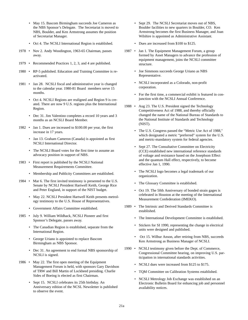- May 15. Bascom Birmingham succeeds Joe Cameron as the NBS Sponsor's Delegate. The Secretariat is moved to NBS, Boulder, and Ken Armstrong assumes the position of Secretariat Manager.
- Oct 4. The NCSLI International Region is established.
- 1978 Nov 2. Andy Woodington, 1963-65 Chairman, passes away.
- 1979 Recommended Practices 1, 2, 3, and 4 are published.
- 1980 RP-5 published. Education and Training Committee is reactivated.
- 1981 Jan 28. NCSLI fiscal and administrative year is changed to the calendar year. 1980-81 Board members serve 15 months.
	- Oct 4. NCSLI Regions are realigned and Region 9 is created. There are now 9 U.S. regions plus the International Region.
	- Dec 31. Jim Valentino completes a record 10 years and 3 months as an NCSLI Board Member.
- 1982 Jan 1. Dues are increased to \$100.00 per year, the first increase in 17 years.
	- Jan 13. Graham Cameron (Canada) is appointed as first NCSLI International Director.
	- The NCSLI Board votes for the first time to assume an advocacy position in support of NBS.
- 1983 First report is published by the NCSLI National Measurement Requirements Committee.
	- Membership and Publicity Committees are established.
- 1984 Mar 6. The first invited testimony is presented to the U.S. Senate by NCSLI President Hartwell Keith, George Rice and Peter England, in support of the NIST budget.
	- May 22. NCSLI President Hartwell Keith presents metrology testimony to the U.S. House of Representatives.
	- Government Affairs Committee established.
- 1985 July 9. William Wildhack, NCSLI Pioneer and first Sponsor's Delegate, passes away.
	- The Canadian Region is established, separate from the International Region.
	- George Uriano is appointed to replace Bascom Birmingham as NBS Sponsor.
	- Dec 31. An agreement to end formal NBS sponsorship of NCSLI is signed.
- 1986 May 22. The first open meeting of the Equipment Management Forum is held, with sponsors Gary Davidson of TRW and Bill Martin of Lockheed presiding. Charlie Sides of Boeing is elected as first Chairman.
	- Sept 15. NCSLI celebrates its 25th birthday. An Anniversary edition of the NCSL Newsletter is published to observe the event.
- Sept 29. The NCSLI Secretariat moves out of NBS, Boulder facilities to new quarters in Boulder, CO. Ken Armstrong becomes the first Business Manager, and Joan Wilshire is appointed as Administrative Assistant.
- Dues are increased from \$100 to \$125.
- 1987 Jan 1. The Equipment Management Forum, a group formed by Asset Managers to advance the profession of equipment management, joins the NCSLI committee structure.
	- Joe Simmons succeeds George Uriano as NBS Representative.
	- NCSLI incorporated as a Colorado, non-profit corporation.
	- For the first time, a commercial exhibit is featured in conjunction with the NCSLI Annual Conference.
- 1988 Aug 23. The U.S. President signed the Technology Competitiveness Act of 1988, and thereby officially changed the name of the National Bureau of Standards to the National Institute of Standards and Technology (NIST).
	- The U.S. Congress passed the "Metric Use Act of 1988," which designated a metric "preferred" system for the U.S. and metric-mandatory system for federal agencies.
	- Sept 27. The Consultative Committee on Electricity (CCE) established new international reference standards of voltage and resistance based on the Josephson Effect and the quantum Hall effect, respectively, to become effective Jan 1, 1990.
	- The NCSLI logo becomes a legal trademark of our organization.
	- The Glossary Committee is established.
	- Oct 19. The 50th Anniversary of bonded strain gages is celebrated in Houston at the meeting of the International Measurement Confederation (IMEKO).
- 1989 The Intrinsic and Derived Standards Committee is established.
	- The International Development Committee is established.
	- Stickers for SI 1990, representing the change in electrical units were designed and published.
	- Oct 15. Wilbur Anson, after retiring from NBS, succeeds Ken Armstrong as Business Manager of NCSLI.
- 1990 NCSLI testimony given before the Dept. of Commerce, Congressional Committee hearing, on improving U.S. participation in international standards activities.
	- NCSLI dues were increased from \$125 to \$175.
	- TQM Committee on Calibration Systems established.
	- NCSLI Metrology Job Exchange was established on an Electronic Bulletin Board for enhancing job and personnel availability notices.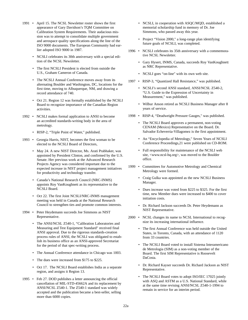- 1991 April 15. The NCSL Newsletter roster shows the first appearance of Gary Davidson's TQM Committee on Calibration System Requirements. Their audacious mission was to attempt to consolidate multiple government and aerospace quality specifications along the line of the ISO 9000 documents. The European Community had earlier adopted ISO 9000 in 1987.
	- NCSLI celebrates its 30th anniversary with a special edition of the NCSL Newsletter.
	- The first NCSLI President is elected from outside the U.S., Graham Cameron of Canada.
	- The NCSLI Annual Conference moves away from its alternating Boulder and Washington, DC, locations for the first time, moving to Albuquerque, NM, and drawing a record attendance of 740.
	- Oct 21. Region 12 was formally established by the NCSLI Board to recognize importance of the Canadian Region activities.
- 1992 NCSLI makes formal application to ANSI to become an accredited standards-writing body in the area of metrology.
	- RISP-2, "Triple Point of Water," published.
- 1993 Georgia Harris, NIST, becomes the first woman to be elected to the NCSLI Board of Directors,
	- May 24. A new NIST Director, Ms. Arati Prabhaker, was appointed by President Clinton, and confirmed by the U.S. Senate. Her previous work at the Advanced Research Projects Agency was considered important due to the expected increase in NIST project management initiatives for productivity and technology transfer.
	- Canada's National Research Council (NRC-INMS) appoints Roy VanKoughnett as its representative to the NCSLI Board.
	- Oct 22. The first Joint NCSLI/NRC-INMS management meeting was held in Canada at the National Research Council to strengthen ties and promote common interests.
- 1994 Peter Heydemann succeeds Joe Simmons as NIST Representative.
	- The ANSI/NCSL Z540-1, "Calibration Laboratories and Measuring and Test Equipment Standard" received final ANSI approval. Due to the rigorous standards-creation process rules of ANSI, the NCSLI was obligated to establish its business office as an ANSI-approved Secretariat for the period of that spec-writing process.
	- The Annual Conference attendance in Chicago was 1003.
	- The dues were increased from \$175 to \$225.
	- Oct 17. The NCSLI Board establishes India as a separate region, and assigns it Region 13.
- 1995 Feb 27. DOD publishes a letter announcing the official cancellation of MIL-STD-45662A and its replacement by ANSI/NCSL Z540-1. The Z540-1 standard was widely accepted and the publication became a best-seller, selling more than 6000 copies.
- NCSLI, in cooperation with ASQC/MQD, established a memorial scholarship fund in memory of Dr. Joe Simmons, who passed away this year.
- Project "Vision 2000," a long-range plan identifying future goals of NCSLI, was completed.
- 1996 NCSLI celebrates its 35th anniversary with a commemorative NCSL Newsletter.
	- Gary Hysert, INMS, Canada, succeeds Roy VanKoughnett as NRC Representative.
	- NCSLI goes "on-line" with its own web site.
- 1997 RISP-3, "Quantized Hall Resistance," was published.
	- NCSLI's second ANSI standard, ANSI/NCSL Z540-2, "U.S. Guide to the Expression of Uncertainty in Measurement," was published.
	- Wilbur Anson retired as NCSLI Business Manager after 8 years of service.
- 1998 RISP-4, "Deadweight Pressure Gauges," was published.
	- The NCSLI Board approves a permanent, non-voting CENAM (Mexico) Representative on the Board. Dr. Salvador Echeverria-Villagomez is the first appointment.
	- An "Encyclopedia of Metrology," Seven Years of NCSLI Conference Proceedings,21 were published on CD-ROM.
	- Full responsibility for maintenance of the NCSLI web site, <www.ncsl-hq.org>, was moved to the Boulder office.
- 1999 Committees for Automotive Metrology and Chemical Metrology were formed.
	- Craig Gulka was appointed as the new NCSLI Business Manager.
	- Dues increase was voted from \$225 to \$325. For the first time, new Member dues were increased to \$400 to cover initiation costs.
	- Dr. Richard Jackson succeeds Dr. Peter Heydemann as NIST Representative.
- 2000 NCSL changes its name to NCSL International to recognize its increasing international influence.
	- The first Annual Conference was held outside the United States, in Toronto, Canada, with an attendance of 1120 from 33 countries.
	- The NCSLI Board voted to install Sistema Interamericano de Metrologia (SIM) as a non-voting member of the Board. The first SIM Representative is Roosevelt DaCosta.
	- Dr. Richard Kayser succeeds Dr. Richard Jackson as NIST Representative.
	- The NCSLI Board votes to adopt ISO/IEC 17025 jointly with ASQ and ASTM as a U.S. National Standard, while at the same time revising ANSI/NCSL Z540-1-1994 to remain in service for an interim period.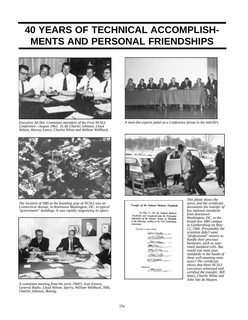## **40 YEARS OF TECHNICAL ACCOMPLISH-MENTS AND PERSONAL FRIENDSHIPS**



*Executive Ad Hoc Committee attendees of the First NCSLI Conference—August 1962. (L-R) Charles Johnson, Lloyd Wilson, Harvey Lance, Charles White and William Wildhack.*



*A meet-the-experts panel at a Conference forum in the mid-60's.*



*The location of NBS at the founding year of NCSLI was on Connecticut Avenue, in downtown Washington, DC, in typical "government" buildings. It was rapidly outgrowing its space.* 



*A committee meeting from the early 1960's. Ivan Easton, General Radio, Lloyd Wilson, Sperry, William Wildhack, NBS, Charles Johnson, Boeing.*



for of the National Gostness! Standards

On May 12, 1988 the Net تی از anno throughous A باوت



*This photo shows the move, and the certificate documents the transfer of key national standards from downtown Washington, DC, to the brand new NBS campus at Gaithersburg on May 12, 1966. Presumably the scientists didn't want "professional" movers to handle their precious hardware, such as saturated standard cells. But would you want your standards in the hands of these well-meaning amateurs? The certificate shows that three NCSLI executives witnessed and certified the transfer; Bill Amey, Charlie White and John Van de Houten.*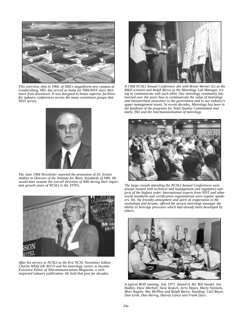

*This overview, shot in 1966, of NBS's magnificent new campus at Gaithersburg, MD, has served as home for NBS/NIST since their move from downtown. It was designed to house superior facilities for industry conferences across the many constituent groups that NIST serves.*



*A 1968 NCSLI Annual Conference skit with Bryan Werner (L) as the R&D scientist and Ralph Berra as the Metrology Lab Manager, trying to communicate with each other. Our metrology community has learned over the years how to communicate the value of metrology and measurement assurance to the government and to our industry's upper management teams. In recent decades, Metrology has been in the forefront of the programs for Total Quality Commitment and lately, ISO and the internationalization of metrology.*



*The June 1968 Newsletter reported the promotion of Dr. Ernest Ambler to Director of the Institute for Basic Standards of NBS. He would later assume the overall direction of NBS during their important growth years of NCSLI in the 1970's.*



*After his service to NCSLI as the first NCSL Newsletter Editor, Charlie White left AVCO and his metrology career, to become Executive Editor of Telecommunications Magazine, a wellrespected industry publication. He held that post for decades.*



*The large crowds attending the NCSLI Annual Conferences were always treated with technical and management and regulatory subjects of the highest order. International experts from NIST and other world standards and certification organizations were regular speakers. Yet, the friendly atmosphere and spirit of cooperation in the workshops and forums, offered the newest metrology manager the ability to leverage processes which had already been developed by others.* 



*A typical BOD meeting, July 1971. Seated (L-R): Bill Vandel, Jim Hadley, Dave Mitchell, Steve Kozich, Jerry Hayes, Marty Vyenielo, Mort Angelo, Wes McPhee and Ralph Barra. Standing: Carl Boyer, Don Greb, Don Hervig, Harvey Lance and Frank Dyce.*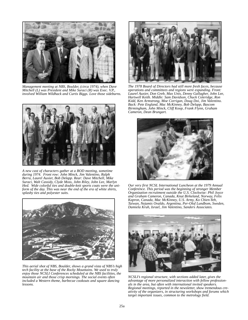

*Management meeting at NBS, Boulder, (circa 1974), when Dave Mitchell (L) was President and Mike Suraci (R) was Exec. V.P., involved William Wildhack and Curtis Biggs. Love those sideburns.*



*A new cast of characters gather at a BOD meeting, sometime during 1974. Front row: John Minck, Jim Valentino, Ralph Berra, Laurel Auxier, Bob Delapp. Rear: Dave Mitchell, Mike Suraci, Walt Cassidy, Clyde Moss, John Riley, John Lee, Marlyn Hed. Wide colorful ties and double-knit sports coats were the uniform of the day. This was near the end of the era of white shirts, splashy ties and polyester suits.*



*This aerial shot of NBS, Boulder, shows a grand vista of NBS's high tech facility at the base of the Rocky Mountains. We used to truly enjoy those NCSLI Conferences scheduled at the NBS facilities, the mountain air and those crisp mornings. The social events often included a Western theme, barbecue cookouts and square dancing lessons.*



*The 1978 Board of Directors had still more fresh faces, because operations and committees and regions were expanding. Front: Laurel Auxier, Don Greb, Max Unis, Denny Gallagher, John Lee, Hartwell Keith. Middle: Sam Davidson, Chuck Coleridge, Ron Kidd, Ken Armstrong, Moe Corrigan, Doug Doi, Jim Valentino. Back: Pete England, Mac McKinney, Bob Delapp, Bascom Birmingham, John Minck, Cliff Koop, Frank Flynn, Graham Cameron, Dean Brungart.*



*Our very first NCSL International Luncheon at the 1979 Annual Conference. This period was the beginning of stronger Member Organization recruitment outside the U.S. Clockwise: Phil Joyce and Graham Cameron, Canada, Knut Birkeland, Norway, Felix Kapron, Canada, Mac McKinney, U.S. Army, Ko Chien-Yeh, Taiwan, Nejamis Ovaldo, Argentina, Per-Olof Lundbom, Sweden, Damiela Kruh, Israel, Jim Valentino, Sanders Associates.*



*NCSLI's regional structure, with sections added later, gives the advantage of more personalized interaction with fellow professionals in the area, but often with international invited speakers. Regional meetings, reported in the newsletter, show tremendous creativity of the organizers, in structuring workshops and forums which target important issues, common to the metrology field.*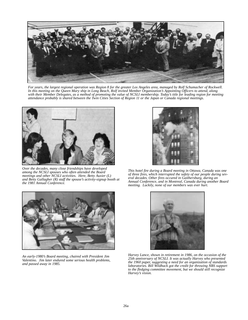

*For years, the largest regional operation was Region 8 for the greater Los Angeles area, managed by Rolf Schumacher of Rockwell. In this meeting on the Queen Mary ship in Long Beach, Rolf invited Member Organization's Appointing Officers to attend, along with their Member Delegates, as a method of promoting the value of NCSLI membership. Today's title for leading region for meeting attendance probably is shared between the Twin Cities Section of Region 11 or the Japan or Canada regional meetings.*



*Over the decades, many close friendships have developed among the NCSLI spouses who often attended the Board meetings and other NCSLI activities. Here, Betty Auxier (L) and Betty Gallagher (R) staff the spouse's activity-signup booth at the 1981 Annual Conference.*



*This hotel fire during a Board meeting in Ottawa, Canada was one of three fires, which interrupted the safety of our people during several decades. Other fires occured in Gaithersburg, during an Annual Conference, and in Montreal, Canada during another Board meeting. Luckily, none of our members was ever hurt.*



*An early-1980's Board meeting, chaired with President Jim Valentino. Jim later endured some serious health problems, and passed away in 1985.*



*Harvey Lance, shown in retirement in 1986, on the occasion of the 25th anniversary of NCSLI. It was actually Harvey who presented the 1960 paper, suggesting a need for an organization of standards laboratories. Bill Wildhack got the credit for throwing NBS support to the fledging committee movement, but we should still recognize Harvey's vision.*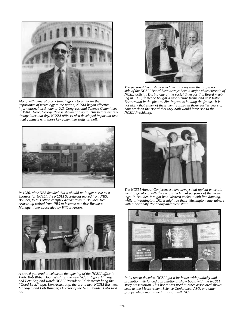

*Along with general promotional efforts to publicize the importance of metrology to the nation, NCSLI began effective informational testimony to U.S. Congressional Science Committees in 1984. Here, George Rice is shown at Capitol Hill before his testimony later that day. NCSLI officers also developed important technical contacts with those key committee staffs as well.*



*The personal friendships which went along with the professional side of the NCSLI Board have always been a major characteristic of NCSLI activity. During one of the social times for this Board meeting in 1986, someone bought a new picture frame and cast Ralph Bertermann in the picture. Jim Ingram is holding the frame. It is not likely that either of these men realized in those earlier years of hard work on the Board that they both would later rise to the NCSLI Presidency.*



*In 1986, after NBS decided that it should no longer serve as a Sponsor for NCSLI, the NCSLI Secretariat moved from NBS, Boulder, to this office complex across town in Boulder. Ken Armstrong retired from NBS to become our first Business Manager, later succeeded by Wilbur Anson.*



*A crowd gathered to celebrate the opening of the NCSLI office in 1986. Bob Weber, Joan Wilshire, the new NCSLI Office Manager, and Pete England watch NCSLI President Ed Nemeroff hang the "Good Luck" sign. Ken Armstrong, the brand new NCSLI Business Manager, and Bob Kamper, Director of the NBS Boulder Labs look on.*



*The NCSLI Annual Conferences have always had topical entertainment to go along with the serious technical purposes of the meetings. In Boulder, it might be a Western cookout with line dancing, while in Washington, DC, it might be these Washington entertainers with a decidedly Politically-Incorrect slant.*



*In its recent decades, NCSLI got a lot better with publicity and promotion. We funded a promotional show booth with the NCSLI story presentation. This booth was used in other associated shows such as the Measurement Science Conference, ASQ, and other groups which maintained a liaison with NCSLI.*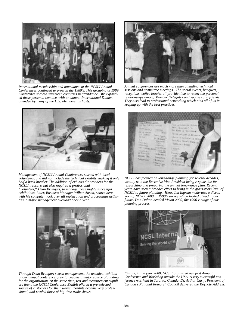

*International membership and attendance at the NCSLI Annual Conferences continued to grow in the 1980's. This grouping at 1989 Conference showed seventeen countries in attendance. We expanded these personal contacts with an annual International Dinner, attended by many of the U.S. Members, as hosts.*



*Management of NCSLI Annual Conferences started with local volunteers, and did not include the technical exhibits, making it only half a back-breaker. The addition of exhibits did wonders for the NCSLI treasury, but also required a professional "volunteer," Dean Brungart, to manage those highly successful exhibitions. Later, Business Manager Wilbur Anson, shown here with his computer, took over all registration and proceedings activities, a major management overload once a year.* 



*Through Dean Brungart's keen management, the technical exhibits at our annual conference grew to become a major source of funding for the organization. At the same time, test and measurement suppliers found the NCSLI Conference Exhibit offered a pre-selected source of customers for their wares. Exhibits became very professional, and rivaled those of big-time trade shows.*



*Annual conferences are much more than attending technical sessions and committee meetings. The social events, banquets, receptions, coffee breaks, all provide time to renew the personal relationships among Member Delegates and spouses and friends. They also lead to professional networking which aids all of us in keeping up with the best practices.*



*NCSLI has focused on long-range planning for several decades, usually with the Executive Vice-President being responsible for researching and preparing the annual long-range plan. Recent years have seen a broader effort to bring in the grass-roots level of NCSLI to future planning. Here, Jim Ingram moderates a discussion of NCSLI 2000, a 1990's survey which looked ahead at our future. Don Dalton headed Vision 2000, the 1996 vintage of our planning process.*



*Finally, in the year 2000, NCSLI organized our first Annual Conference and Workshop outside the USA. A very successful conference was held in Toronto, Canada. Dr. Arthur Carty, President of Canada's National Research Council delivered the Keynote Address.*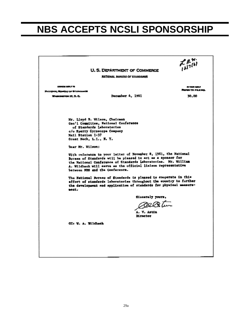## **NBS ACCEPTS NCSLI SPONSORSHIP**

|                                                                           | U. 5. DEPARTMENT OF COMMERCE<br>KATIONAL BUREAU OF STANDARDS                                                                                                                                                                                                                                                                                                                                                                                                                                                                                                                                                                                               | $\mathcal{L}_{12}^{\beta,\gamma}$ |
|---------------------------------------------------------------------------|------------------------------------------------------------------------------------------------------------------------------------------------------------------------------------------------------------------------------------------------------------------------------------------------------------------------------------------------------------------------------------------------------------------------------------------------------------------------------------------------------------------------------------------------------------------------------------------------------------------------------------------------------------|-----------------------------------|
| ADDRESS SEPLY TO                                                          |                                                                                                                                                                                                                                                                                                                                                                                                                                                                                                                                                                                                                                                            | <b>PLYWOR ABOUT</b>               |
| MATIONAL BURRAIO OF BYAROANOB                                             |                                                                                                                                                                                                                                                                                                                                                                                                                                                                                                                                                                                                                                                            | REPERTO FILEMA                    |
| WASHINGTON 11, D. C.                                                      | December 4, 1961                                                                                                                                                                                                                                                                                                                                                                                                                                                                                                                                                                                                                                           | 30.00                             |
| Mail Station 1-37<br>Great Neck. L.I., N. Y.<br>Dear Mr. Wilson:<br>meat. | Mr. Lloyd B. Wilson, Chairman<br>Gen'i Committee, National Conference<br>of Standards Laboratories<br>с/о Бретту Суговсоре Соврану<br>With reference to your latter of November 8, 1961, the National<br>Bureau of Standards will be pleased to act as a sponsor for<br>the National Conference of Standards Laboratories. Mr. William<br>A. Wildhack will sarve as the official lisison representative<br>between NBS and the Conference.<br>The National Bureau of Standards is pleased to cooperate in this<br>effort of standards laboratories throughout the country to further<br>the development and application of standards for physical measure- |                                   |
|                                                                           | Sinceraly yours,                                                                                                                                                                                                                                                                                                                                                                                                                                                                                                                                                                                                                                           |                                   |
|                                                                           | 70an tum<br>A. V. Astin<br>Mrector                                                                                                                                                                                                                                                                                                                                                                                                                                                                                                                                                                                                                         |                                   |
| CC: U. A. Wildhack                                                        |                                                                                                                                                                                                                                                                                                                                                                                                                                                                                                                                                                                                                                                            |                                   |
|                                                                           |                                                                                                                                                                                                                                                                                                                                                                                                                                                                                                                                                                                                                                                            |                                   |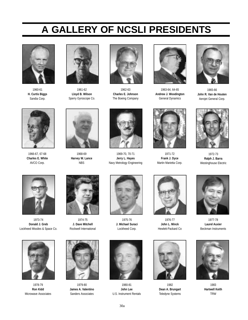## **A GALLERY OF NCSLI PRESIDENTS**



1960-61 **H. Curtis Biggs** Sandia Corp.



1961-62 **Lloyd B. Wilson** Sperry Gyroscope Co.



1962-63 **Charles E. Johnson** The Boeing Company



1963-64, 64-65 **Andrew J. Woodington** General Dynamics



1965-66 **John R. Van de Houten** Aerojet General Corp.



1966-67, 67-68 **Charles E. White** AVCO Corp.



1968-69 **Harvey W. Lance** NBS



1969-70, 70-71 **Jerry L. Hayes** Navy Metrology Engineering



1971-72 **Frank J. Dyce** Martin Marietta Corp.



1972-73 **Ralph J. Barra** Westinghouse Electric



1973-74 **Donald J. Greb** Lockheed Missiles & Space Co.



1974-75 **J. Dave Mitchell** Rockwell International



1978-79 **Ron Kidd** Microwave Associates



1979-80 **James A. Valentino** Sanders Associates



1975-76 **J. Michael Suraci** Lockheed Corp.



1980-81 **John Lee** U.S. Instrument Rentals



1976-77 **John L. Minck** Hewlett-Packard Co



1982 **Dean A. Brungart** Teledyne Systems



1977-78 **Laurel Auxier** Beckman Instruments



1983 **Hartwell Keith** TRW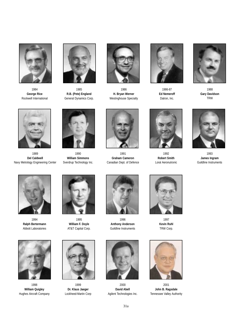

1984 **George Rice** Rockwell International



1985 **R.B. (Pete) England** General Dynamics Corp.



1986 **H. Bryan Werner** Westinghouse Specialty



1986-87 **Ed Nemeroff** Datron, Inc.



1988 **Gary Davidson** TRW



1989 **Del Caldwell** Navy Metrology Engineering Center



1990 **William Simmons** Sverdrup Technology Inc.



1991 **Graham Cameron** Canadian Dept. of Defence



1992 **Robert Smith** Loral Aeronutronic



1993 **James Ingram** Guildline Instruments



1994 **Ralph Bertermann** Abbott Laboratories



1995 **William F. Doyle** AT&T Capital Corp.



1996 **Anthony Anderson** Guildline Instruments



1997 **Kevin Ruhl** TRW Corp.



2001 **John B. Ragsdale** Tennessee Valley Authority



1998 **William Quigley** Hughes Aircraft Company



1999 **Dr. Klaus Jaeger** Lockheed-Martin Corp



2000 **David Abell** Agilent Technologies Inc.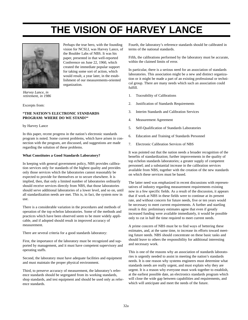## **THE VISION OF HARVEY LANCE**



Perhaps the true hero, with the founding vision for NCSLI, was Harvey Lance, of the Boulder Labs of NBS. It was his paper, presented in that well-reported Conference on June 22, 1960, which created the immediate popular support for taking some sort of action, which would result, a year later, in the establishment of our measurements-oriented organization.

*Harvey Lance, in retirement, in 1986*

Excerpts from:

## **"THE NATION'S ELECTRONIC STANDARDS PROGRAM: WHERE DO WE STAND?"**

by Harvey Lance

In this paper, recent progress in the nation's electronic standards program is noted. Some current problems, which have arisen in connection with the program, are discussed, and suggestions are made regarding the solution of these problems.

## **What Constitutes a Good Standards Laboratory?**

In keeping with general government policy, NBS provides calibration services only for standards of the highest quality and provides only those services which the laboratories cannot reasonably be expected to provide for themselves or to secure elsewhere. It is implied, then, that only a limited number of laboratories ordinarily should receive services directly from NBS, that those laboratories should serve additional laboratories of a lower level, and so on, until all standardization needs are met. This is, in fact, the system now in use.

There is a considerable variation in the procedures and methods of operation of the top echelon laboratories. Some of the methods and practices which have been observed seem to be more widely applicable, and if adopted should result in improved accuracy of measurement.

There are several criteria for a good standards laboratory:

First, the importance of the laboratory must be recognized and supported by management, and it must have competent supervisory and operating staffs.

Second, the laboratory must have adequate facilities and equipment and must maintain the proper physical environment.

Third, to preserve accuracy of measurement, the laboratory's reference standards should be segregated from its working standards, shop standards, and test equipment and should be used only as reference standards.

Fourth, the laboratory's reference standards should be calibrated in terms of the national standards.

Fifth, the calibrations performed by the laboratory must be accurate, within the claimed limits of error.

In particular, there is a serious need for an association of standards laboratories. This association might be a new and distinct organization or it might be made a part of an existing professional or technical group. There are many needs which such an association could fulfill.

- 1. Traceability of Calibrations
- 2. Justification of Standards Requirements
- 3. Interim Standards and Calibration Services
- 4. Measurement Agreement
- 5. Self-Qualification of Standards Laboratories
- 6. Education and Training of Standards Personnel
- 7. Electronic Calibration Services of NBS

It was pointed out that the nation needs a broader recognition of the benefits of standardization; further improvements in the quality of top echelon standards laboratories; a greater supply of competent personnel; and a substantial increase in the calibration services available from NBS, together with the creation of the new standards on which these services must be based.

The latter need was emphasized in recent discussions with representatives of industry regarding measurement requirements existing now in a few specific fields. As a result of the discussion, it appears that if work at NBS in these fields were to continue at its present rate, and without concern for future needs, five or ten years would be necessary to meet current requirements. A further and startling result is this: preliminary estimates agree that even if greatly increased funding were available immediately, it would be possible only to cut in half the time required to meet current needs.

A prime concern of NBS must be to find ways of bettering these estimates, and, at the same time, to increase its efforts toward meeting future needs. NBS should concentrate on these basic tasks and should leave to others the responsibility for additional interesting and necessary work.

This is one of the reasons why an association of standards laboratories is urgently needed to assist in meeting the nation's standards needs. It is one reason why systems engineers must determine what standards needs are really urgent, and must explain why they are urgent. It is a reason why everyone must work together to establish, at the earliest possible date, an electronics standards program which will close the wide gap between capabilities and requirements, and which will anticipate and meet the needs of the future.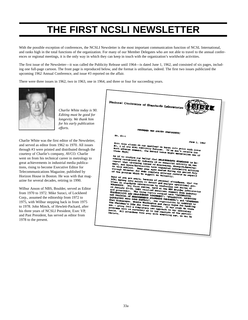## **THE FIRST NCSLI NEWSLETTER**

With the possible exception of conferences, the NCSLI Newsletter is the most important communication function of NCSL International, and ranks high in the total functions of the organization. For many of our Member Delegates who are not able to travel to the annual conferences or regional meetings, it is the only way in which they can keep in touch with the organization's worldwide activities.

The first issue of the Newsletter—it was called the Publicity Release until 1964—is dated June 1, 1962, and consisted of six pages, including one full-page cartoon. The front page is reproduced below, and the format is utilitarian, indeed. The first two issues publicized the upcoming 1962 Annual Conference, and issue #3 reported on the affair.

There were three issues in 1962, two in 1963, one in 1964, and three or four for succeeding years.



*Charlie White today is 90. Editing must be good for longevity. We thank him for his early publication efforts.*

Charlie White was the first editor of the Newsletter, and served as editor from 1962 to 1970. All issues through #3 were printed and distributed through the courtesy of Charlie's company, AVCO. Charlie went on from his technical career in metrology to great achievements in industrial media publications, rising to become Executive Editor for Telecommunications Magazine, published by Horizon House in Boston. He was with that magazine for several decades, retiring in 1990.

Wilbur Anson of NBS, Boulder, served as Editor from 1970 to 1972. Mike Suraci, of Lockheed Corp., assumed the editorship from 1972 to 1975, with Wilbur stepping back in from 1975 to 1978. John Minck, of Hewlett-Packard, after his three years of NCSLI President, Exec VP, and Past President, has served as editor from 1978 to the present.

National Conference of Standards Laboratories RENENSER THE AUGUST CONFIRENCE: 80, 62-1 une 1, 1962 With this plogas<br>No. 1 Df at mith this mlogan on our masthead we burst in<br>Bo. 1 of the NC4% Publicity Release. If we<br>Buch adverse comment, the second issue might As if to confirm our balief that MEASUREMENTS STANDAY<br>Coming recognized by industry as an essential standar<br>Report that up-coming issues as assamtial and Phisod by industry as an essential activity in<br>"Phisod by industry as an essential activity we<br>Phos/Asronamidae of Microwayes, Represently we report that up-com noustry as an assample account of the<br>issues of Microwaves, Research/Develop-<br>wides have requested information article<br>your system realed during the new ratical<br>One complex pealed during the new nt, and Space/hard<br>this subject, New<br>cuph November for<br>the program this and Space/hard Easp your syes pe quested information article<br>wled during the Pariod July<br>Covarage reports e complete coverage reports e program which We eupp ort so valiantly.  $0<sub>0</sub>$ We of you are aware. The handle of parsonal attendance, that is a in standards into action to detect and analyze operational pro-<br>MSHOPS. The first excite had a the proposition of the standards into action to the standard City, and  $b$ FORKEBOPS WORNBOON, The first aggregator by conducting to senional producting to caries of the senior and generates. The first aggregate with the senior independent of the senior of the senior conducting to senior independent from i The finance of the three topics coverage support from industry<br>and fraction of MELETY AND MARIZER (Western California)<br>LADORATORY WORK LOAD CONTROL", OUR STRAINANT DELACTION<br>ENGARDATORY WORK LOAD CONTROL", OUR crippositeti  $t_{xy}$ Shel Richardson Shel Richardson, woodie Woodington and<br>the Chairman's jobs for these sessions,<br>man - going into a completely nassions, e Chairman's Jobs for these seasons Jury Reyes for hadred to a indebted the seasons. It was rough on these views and the seasons. It was rough on these with no completely new approach to our laboratory of the particle.<br>We Pents, All attendses car<br>Pents, All attendses car<br>Cortain, certain.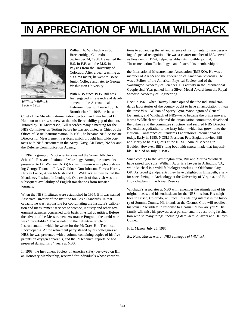## **IN APPRECIATION OF WILLIAM WILDHACK**



*William Wildhack 1908 – 1985*

William A. Wildhack was born in Breckenridge, Colorado, on September 24, 1908. He earned the B.S. in E.E. and the M.S. in Physics from the University of Colorado. After a year teaching at his alma mater, he went to Boise Junior College and later to George Washington University.

With NBS since 1935, Bill was first engaged in research and development in the Aeronautical Instrument Section headed by Dr. Brombacher. In 1948, he became

Chief of the Missile Instrumentation Section, and later helped Dr. Huntoon to narrow somewhat the missile reliability gap of that era. Tutored by Dr. McPherson, Bill recorded many a meeting for the NBS Committee on Testing before he was appointed as Chief of the Office of Basic Instrumentation. In 1961, he became NBS Associate Director for Measurement Services, which brought him wide contacts with NBS customers in the Army, Navy, Air Force, NASA and the Defense Communication Agency.

In 1962, a group of NBS scientists visited the Soviet All-Union Scientific Research Institute of Metrology. Among the souvenirs presented to Dr. Wichers (NBS) for his museum was a photo showing George Toumanoff, Les Guildner, Don Johnson, Forrest Harris, Harvey Lance, Alvin McNish and Bill Wildhack as they toured the Mendeleev Institute in Leningrad. One result of that visit was the subsequent availability of English translations from Russian journals.

When the NBS Institutes were established in 1964, Bill was named Associate Director of the Institute for Basic Standards. In that capacity he was responsible for coordinating the Institute's calibration and measurement services to science, industry and other government agencies concerned with basic physical quantities. Before the advent of the Measurement Assurance Program, the torrid word was "traceability." That is noted in the definitive article on Instrumentation which he wrote for the McGraw-Hill Technical Encyclopedia. At the retirement party staged by his colleagues at NBS, he was presented with a volume containing copies of his five patents on oxygen apparatus, and the 39 technical reports he had prepared during his 34 years at NBS.

In 1968, the Instrument Society of America (ISA) bestowed on Bill an Honorary Membership, reserved for individuals whose contribu-

tions to advancing the art and science of instrumentation are deserving of special recognition. He was a charter member of ISA, served as President in 1954, helped establish its monthly journal, "Instrumentation Technology," and fostered its membership in

the International Measurements Association (IMEKO). He was a member of AAAS and the Federation of American Scientists. He was a Fellow of the American Physical Society and of the Washington Academy of Sciences. His activity in the International Geophysical Year gained him a Silver Medal Award from the Royal Swedish Academy of Engineering.

Back in 1961, when Harvey Lance opined that the industrial standards laboratories of the country ought to have an association, it was the three W's—Wilson of Sperry Gyro, Woodington of General Dynamics, and Wildhack of NBS—who became the prime movers. It was Wildhack who chaired the organization committee, developed the bylaws and the committee structure, and secured NBS Director Dr. Astin as godfather to the lusty infant, which has grown into the National Conference of Standards Laboratories International of today. Early in 1985, NCSLI President Pete England invited Bill and Marty to be his guests at the NCSLI Annual Meeting in Boulder. However, Bill's long bout with cancer made that impossible. He died on July 9, 1985.

Since coming to the Washington area, Bill and Martha Wildhack have raised two sons. William A. Jr. is a lawyer in Arlington, VA, while Michael is a wildlife biologist working in Oklahoma City, OK. As proud grandparents, they have delighted in Elizabeth, a senior specializing in Archeology at the University of Virginia, and Bill III, a chaplain in the Naval Reserve.

Wildhack's associates at NBS will remember the stimulation of his original ideas, and his enthusiasm for the NBS mission. His neighbors in Frisco, Colorado, will recall his lifelong interest in the history of Summit County. His friends at the Cosmos Club will recollect his jovial, "Terrible!" in response to a casual, "How are you?" His family will miss his prowess as a punster, and his absorbing fascination with so many things, including demi-semi-quavers and Halley's Comet.

H.L. Mason, July 25, 1985.

*Ed. Note: Mason was an NBS colleague of Wildhack*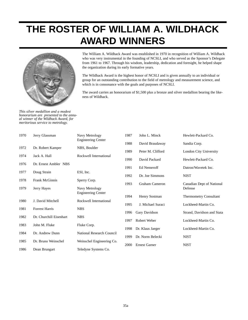## **THE ROSTER OF WILLIAM A. WILDHACK AWARD WINNERS**



*This silver medallion and a modest honorarium are presented to the annual winner of the Wildhack Award, for meritorious service to metrology.*

The William A. Wildhack Award was established in 1970 in recognition of William A. Wildhack who was very instrumental in the founding of NCSLI, and who served as the Sponsor's Delegate from 1961 to 1967. Through his wisdom, leadership, dedication and foresight, he helped shape the organization during its early formative years.

The Wildhack Award is the highest honor of NCSLI and is given annually to an individual or group for an outstanding contribution to the field of metrology and measurement science, and which is in consonance with the goals and purposes of NCSLI.

The award carries an honorarium of \$1,500 plus a bronze and silver medallion bearing the likeness of Wildhack.

| 1970 | Jerry Glassman          | Navy Metrology                              | 1987 | John L. Minck        | Hewlett-Packard Co.           |
|------|-------------------------|---------------------------------------------|------|----------------------|-------------------------------|
|      |                         | <b>Engineering Center</b>                   | 1988 | David Braudaway      | Sandia Corp.                  |
| 1972 | Dr. Robert Kamper       | NBS, Boulder                                | 1989 | Peter M. Clifford    | <b>London City University</b> |
| 1974 | Jack A. Hall            | Rockwell International                      |      |                      |                               |
| 1976 | Dr. Ernest Ambler NBS   |                                             | 1990 | David Packard        | Hewlett-Packard Co.           |
| 1977 | Doug Strain             | ESI, Inc.                                   | 1991 | Ed Nemeroff          | Datron/Wavetek Inc.           |
|      |                         |                                             | 1992 | Dr. Joe Simmons      | <b>NIST</b>                   |
| 1978 | <b>Frank McGinnis</b>   | Sperry Corp.                                | 1993 | Graham Cameron       | Canadian Dept of National     |
| 1979 | Jerry Hayes             | Navy Metrology<br><b>Engineering Center</b> |      |                      | Defense                       |
|      |                         |                                             | 1994 | Henry Sostman        | <b>Thermometry Consultant</b> |
| 1980 | J. David Mitchell       | Rockwell International                      | 1995 | J. Michael Suraci    | Lockheed-Martin Co.           |
| 1981 | <b>Forrest Harris</b>   | <b>NBS</b>                                  | 1996 | Gary Davidson        | Strand, Davidson and Stata    |
| 1982 | Dr. Churchill Eisenhart | <b>NBS</b>                                  | 1997 | Robert Weber         | Lockheed-Martin Co.           |
| 1983 | John M. Fluke           | Fluke Corp.                                 |      |                      |                               |
| 1984 | Dr. Andrew Dunn         | National Research Council                   | 1998 | Dr. Klaus Jaeger     | Lockheed-Martin Co.           |
| 1985 | Dr. Bruno Weinschel     |                                             | 1999 | Dr. Norm Belecki     | <b>NIST</b>                   |
|      |                         | Weinschel Engineering Co.                   | 2000 | <b>Ernest Garner</b> | <b>NIST</b>                   |
| 1986 | Dean Brungart           | Teledyne Systems Co.                        |      |                      |                               |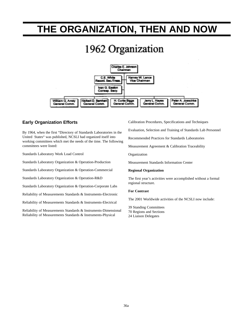## **THE ORGANIZATION, THEN AND NOW**

# 1962 Organization



## **Early Organization Efforts**

By 1964, when the first "Directory of Standards Laboratories in the United States" was published, NCSLI had organized itself into working committees which met the needs of the time. The following committees were listed:

Standards Laboratory Work Load Control

Standards Laboratory Organization & Operation-Production

Standards Laboratory Organization & Operation-Commercial

Standards Laboratory Organization & Operation-R&D

Standards Laboratory Organization & Operation-Corporate Labs

Reliability of Measurements Standards & Instruments-Electronic

Reliability of Measurements Standards & Instruments-Electrical

Reliability of Measurements Standards & Instruments-Dimensional Reliability of Measurements Standards & Instruments-Physical

Calibration Procedures, Specifications and Techniques

Evaluation, Selection and Training of Standards Lab Personnel

Recommended Practices for Standards Laboratories

Measurement Agreement & Calibration Traceability

Organization

Measurement Standards Information Center

### **Regional Organization**

The first year's activities were accomplished without a formal regional structure.

## **For Contrast**

The 2001 Worldwide activities of the NCSLI now include:

39 Standing Committees 70 Regions and Sections 24 Liaison Delegates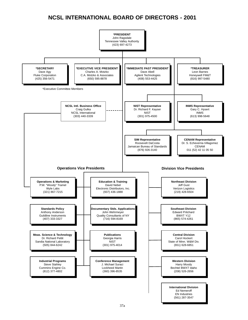## **NCSL INTERNATIONAL BOARD OF DIRECTORS - 2001**

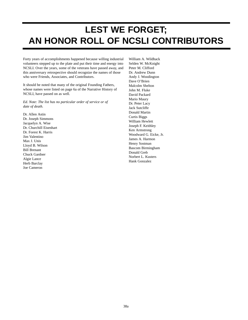## **LEST WE FORGET; AN HONOR ROLL OF NCSLI CONTRIBUTORS**

Forty years of accomplishments happened because willing industrial volunteers stepped up to the plate and put their time and energy into NCSLI. Over the years, some of the veterans have passed away, and this anniversary retrospective should recognize the names of those who were Friends, Associates, and Contributors.

It should be noted that many of the original Founding Fathers, whose names were listed on page 6a of the Narrative History of NCSLI, have passed on as well.

*Ed. Note: The list has no particular order of service or of date of death.*

Dr. Allen Astin Dr. Joseph Simmons Jacquelyn A. Wise Dr. Churchill Eisenhart Dr. Forest K. Harris Jim Valentino Max J. Unis Lloyd B. Wilson Bill Brenant Chuck Gardner Algie Lance Herb Barclay Joe Cameron

William A. Wildhack Selden W. McKnight Peter M. Clifford Dr. Andrew Dunn Andy J. Woodington Dave O'Brien Malcolm Shelton John M. Fluke David Packard Mario Maury Dr. Peter Lacy Jack Sutcliffe Donald Martin Curtis Biggs William Hewlett Joseph F. Keithley Ken Armstrong Woodward G. Eicke, Jr. James A. Harmon Henry Sostman Bascom Birmingham Donald Greb Norbert L. Kusters Hank Gonzalez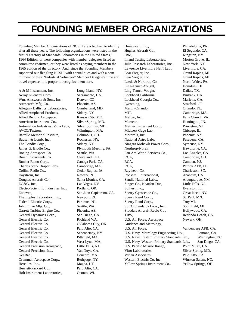## **FOUNDING MEMBER ORGANIZATIONS**

Founding Member Organizations of NCSLI are a bit hard to identify after all these years. The following organizations were listed in the first "Directory of Standards Laboratories in the United States," 1964 Edition, or were companies with member delegates listed as committee chairmen, or they were listed as paying members in the 1965 edition of the directory. And, since the Founding Members supported our fledgling NCSLI with annual dues and with a commitment of their "Industrial Volunteer" Member Delegate's time and travel expense, it is proper to recognize them here.

A & M Instrument, Inc., Long Island, NY. Aerojet-General Corp, Sacramento, CA. Wm. Ainsworth & Sons, Inc., Denver, CO. Airesearch Mfg. Co., Phoenix, AZ. Allegany Ballistics Laboratories, Cumberland, MD. Allied Amphenol Products, Sidney, NY. Allied Bendix Aerospace, Kansas City, MO. American Instrument Co., Silver Spring, MD. Automation Industries, Vitro Labs, Silver Springs, MD. AVCO/Textron, Wilmington, MA. Battelle Memorial Institute, Columbus, OH. Bausch & Lomb, Inc., Rochester, NY. The Bendix Corp., Sidney, NY. James G. Biddle Co., Plymouth Meeting, PA. Boeing Aerospace Co. Seattle, WA. Brush Instruments Co., Cleveland, OH. Bunker Ramo Corp., Canoga Park, CA. Charles Stark Draper Labs, Cambridge, MA. Collins Radio Co., Cedar Rapids, IA. Daystrom, Inc., Newark, NJ. Douglas Aircraft Co., Santa Monica, CA. EG&G, Inc., Las Vegas, NV. Electro-Scientific Industries Inc., Portland, OR. Endevco, San Juan Capistrano, CA. The Eppley Laboratory, Inc., Newport, RI. Federal Electric Corp., Paramus, NJ. John Fluke Mfg. Co., Seattle, WA. Garrett Turbine Engine Co., Phoenix, AZ. General Dynamics Corp., San Diego, CA. General Electric Co., Richland WA. General Electric Co., Oklahoma City, OK. General Electric Co., Palo Alto, CA. General Electric Co., Schenectady, NY. General Electric Co., Pittsfield, MA. General Electric Co., West Lynn, MA. General Precision Aerospace, Little Falls, NJ. General Precision, Inc., Van Nuys, CA. GenRad, Concord, MA. Grumman Aerospace Corp., Bethpage, NY. Hercules, Inc., Magna, UT. Hewlett-Packard Co., Palo Alto, CA. Holt Instrument Laboratories, Oconto, WI.

Honeywell, Inc., Philadelphia, PA. Hughes Aircraft Co., El Segundo, CA. IBM, Kingston, NY. Inland Testing Laboratories, Morton Grove, IL. Julie Research Laboratories, Inc., New York, NY. Lawrence Livermore Nat'l Lab., Livermore, CA. Lear Siegler, Inc., Grand Rapids, MI. Lear Siegler, Inc. Grand Rapids, MI. Leeds & Northrup Co., North Wales, PA. Ling-Temco-Vought, Honolulu, HI Ling-Temco-Vought, Dallas, TX. Lockheed California, Burbank, CA. Lockheed-Georgia Co., Marietta, GA. Lycoming, Stratford, CT Martin-Orlando, Chando, FL. MIT, Cambridge, MA. Melpar, Inc., Falls Church, VA. Memcor, Huntington, IN. Mettler Instrument Corp., Princeton, NJ. Midwest Gage Lab., Chicago, IL. Motorola, Inc., Phoenix, AZ. National Astro Labs, Pasadena, CA. Niagara Mohawk Power Corp., Syracuse, NY. Northrop-Norair, Hawthorne, CA. Pan Am World Services Co., Los Angeles, CA. RCA, Cambridge, OH. RCA, Camden, NJ. RCA, Patrick AFB, FL. Raytheon Co., Charleston, SC. Rockwell International, Anaheim, CA. Sandia National Labs., Albuquerque, NM. Singer Co., Kearfott Div., Little Falls, NJ. Soiltest, Inc., Evanston, IL. Sperry Gyroscope Co., Great Neck, NY. Sperry Rand Corp., St. Paul, MN. Sperry Rand Corp., Troy, MI. SSCO Standards Labs., Inc., Southfield, MI. Stoddart Aircraft Radio Co., Hollywood, CA. TRW, Redondo Beach, CA. U.S. Air Force, Aerospace Newark, OH. Guidance and Metrology, U.S. Air Force, Vandenberg AFB, CA. U.S. Navy, Metrology Engineering Div., Pomona, CA. U.S. Navy, Eastern Primary Standards Lab., Washington, DC. U.S. Navy, Western Primary Standards Lab., San Diego, CA. U.S. Pacific Missile Range, Point Mugu, CA. Vitro Laboratories, Silver Spring, MD. Varian Associates, Palo Alto, CA. Western Electric Co. Inc., Winston Salem, NC. Yellow Springs Instrument Co., Yellow Springs, OH.